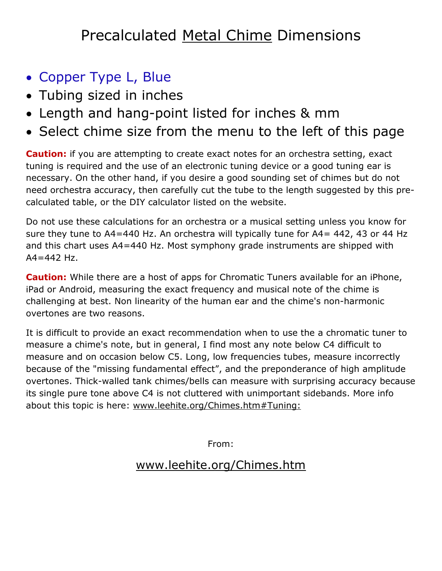## Precalculated Metal Chime Dimensions

- Copper Type L, Blue
- Tubing sized in inches
- Length and hang-point listed for inches & mm
- Select chime size from the menu to the left of this page

**Caution:** if you are attempting to create exact notes for an orchestra setting, exact tuning is required and the use of an electronic tuning device or a good tuning ear is necessary. On the other hand, if you desire a good sounding set of chimes but do not need orchestra accuracy, then carefully cut the tube to the length suggested by this precalculated table, or the DIY calculator listed on the website.

Do not use these calculations for an orchestra or a musical setting unless you know for sure they tune to A4=440 Hz. An orchestra will typically tune for A4= 442, 43 or 44 Hz and this chart uses A4=440 Hz. Most symphony grade instruments are shipped with  $A4 = 442$  Hz.

**Caution:** While there are a host of apps for Chromatic Tuners available for an iPhone, iPad or Android, measuring the exact frequency and musical note of the chime is challenging at best. Non linearity of the human ear and the chime's non-harmonic overtones are two reasons.

It is difficult to provide an exact recommendation when to use the a chromatic tuner to measure a chime's note, but in general, I find most any note below C4 difficult to measure and on occasion below C5. Long, low frequencies tubes, measure incorrectly because of the "missing fundamental effect", and the preponderance of high amplitude overtones. Thick-walled tank chimes/bells can measure with surprising accuracy because its single pure tone above C4 is not cluttered with unimportant sidebands. More info about this topic is here: [www.leehite.org/Chimes.htm#Tuning:](http://leehite.org/Chimes.htm#Tuning:)

From:

## [www.leehite.org/Chimes.htm](http://www.leehite.org/Chimes.htm)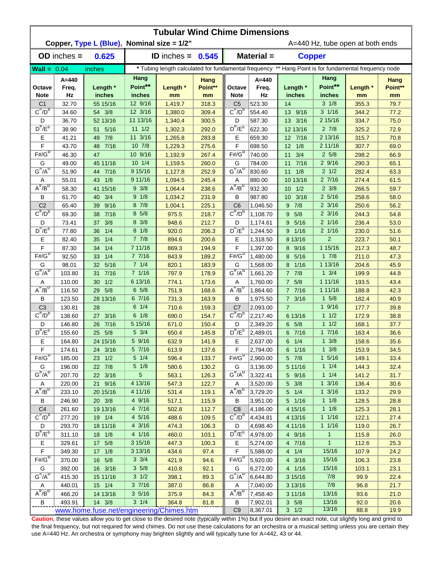| <b>Tubular Wind Chime Dimensions</b><br>Copper, Type L (Blue), Nominal size = 1/2" |                  |                                          |                   |                      |                |                                                                                                      |                      |                         |                    |                                  |               |  |  |
|------------------------------------------------------------------------------------|------------------|------------------------------------------|-------------------|----------------------|----------------|------------------------------------------------------------------------------------------------------|----------------------|-------------------------|--------------------|----------------------------------|---------------|--|--|
|                                                                                    |                  |                                          |                   |                      |                |                                                                                                      |                      |                         |                    | A=440 Hz, tube open at both ends |               |  |  |
|                                                                                    | $OD$ inches $=$  | 0.625                                    |                   | <b>ID</b> inches $=$ | 0.545          |                                                                                                      | Material =           | <b>Copper</b>           |                    |                                  |               |  |  |
| <b>Wall</b> = $0.04$                                                               |                  | inches                                   |                   |                      |                | * Tubing length calculated for fundamental frequency ** Hang Point is for fundamental frequency node |                      |                         |                    |                                  |               |  |  |
|                                                                                    | $A = 440$        |                                          | Hang              |                      | Hang           |                                                                                                      | $A = 440$            |                         | Hang               |                                  | Hang          |  |  |
| Octave<br><b>Note</b>                                                              | Freq.<br>Hz      | Length *<br>inches                       | Point**<br>inches | Length *<br>mm       | Point**<br>mm  | Octave<br><b>Note</b>                                                                                | Freq.<br>Hz          | Length *<br>inches      | Point**<br>inches  | Length *<br>mm                   | Point**<br>mm |  |  |
| C <sub>1</sub>                                                                     | 32.70            | 55 15/16                                 | 12 9/16           | 1,419.7              | 318.3          | C <sub>5</sub>                                                                                       | 523.30               | 14                      | $3 \frac{1}{8}$    | 355.3                            | 79.7          |  |  |
| $C^{\frac{\pi}{}}/D^b$                                                             | 34.60            | 54 3/8                                   | 12 3/16           | 1,380.0              | 309.4          | $C^{\#}/D^D$                                                                                         | 554.40               | 13 9/16                 | $3 \frac{1}{16}$   | 344.2                            | 77.2          |  |  |
| D                                                                                  | 36.70            | 52 13/16                                 | 11 13/16          | 1,340.4              | 300.5          | D                                                                                                    | 587.30               | 13 3/16                 | 2 15/16            | 334.7                            | 75.0          |  |  |
| $D^{\#}/E^b$                                                                       | 38.90            | 5/16<br>51                               | $11 \frac{1}{2}$  | 1,302.3              | 292.0          | $D^{\prime\prime}/E^b$                                                                               | 622.30               | 12 13/16                | $2 \frac{7}{8}$    | 325.2                            | 72.9          |  |  |
| Е                                                                                  | 41.21            | 49 7/8                                   | 11 3/16           | 1,265.8              | 283.8          | Е                                                                                                    | 659.30               | 12 7/16                 | 2 13/16            | 315.7                            | 70.8          |  |  |
| F                                                                                  | 43.70            | 7/16<br>48                               | 10 7/8            | 1,229.3              | 275.6          | F                                                                                                    | 698.50               | $12 \t1/8$              | 2 11/16            | 307.7                            | 69.0          |  |  |
| $F#/\overline{G}^D$                                                                | 46.30            | 47                                       | 10 9/16           | 1,192.9              | 267.4          | $F#/\overline{G}^D$                                                                                  | 740.00               | 3/4<br>11               | 25/8               | 298.2                            | 66.9          |  |  |
| G                                                                                  | 49.00            | 45 11/16                                 | $10 \t1/4$        | 1,159.5              | 260.0          | G                                                                                                    | 784.00               | 7/16<br>11              | 29/16              | 290.3                            | 65.1          |  |  |
| $G^{\#}/A^D$                                                                       | 51.90            | 7/16<br>44                               | 9 15/16           | 1,127.8              | 252.9          | $G^H/A^D$                                                                                            | 830.60               | 1/8<br>11               | $2 \frac{1}{2}$    | 282.4                            | 63.3          |  |  |
| A                                                                                  | 55.01            | 43 1/8                                   | 9 11/16           | 1,094.5              | 245.4          | Α                                                                                                    | 880.00               | 10 13/16                | 27/16              | 274.4                            | 61.5          |  |  |
| $A^{\#}/B^D$                                                                       | 58.30            | 41 15/16                                 | $9 \frac{3}{8}$   | 1,064.4              | 238.6          | $A^H/B^D$                                                                                            | 932.30               | 1/2<br>10 <sup>°</sup>  | $2 \frac{3}{8}$    | 266.5                            | 59.7          |  |  |
| В                                                                                  | 61.70            | 3/4<br>40                                | 9 1/8             | 1,034.2              | 231.9          | В                                                                                                    | 987.80               | 3/16<br>10 <sup>°</sup> | $2\,5/16$          | 258.6                            | 58.0          |  |  |
| C <sub>2</sub>                                                                     | 65.40            | 9/16<br>39                               | 87/8              | 1,004.1              | 225.1          | C <sub>6</sub>                                                                                       | 1,046.50             | 7/8<br>9                | $2 \frac{3}{16}$   | 250.6                            | 56.2          |  |  |
| $C^{\prime\prime}/D^D$                                                             | 69.30            | 7/16<br>38                               | 8 5/8             | 975.5                | 218.7          | $C^{\prime\prime}/D^D$                                                                               | 1,108.70             | 5/8<br>9                | $2 \frac{3}{16}$   | 244.3                            | 54.8          |  |  |
| D                                                                                  | 73.41            | 3/8<br>37                                | 8 3/8             | 948.6                | 212.7          | D                                                                                                    | 1,174.61             | 5/16<br>9               | $2 \frac{1}{16}$   | 236.4                            | 53.0          |  |  |
| $D^{\pi}/E^b$                                                                      | 77.80            | 1/4<br>36                                | $8 \frac{1}{8}$   | 920.0                | 206.3          | $D^{\pi}/E^b$                                                                                        | 1,244.50             | 1/16<br>9               | $2 \frac{1}{16}$   | 230.0                            | 51.6          |  |  |
| Е                                                                                  | 82.40            | 1/4<br>35                                | 77/8              | 894.6                | 200.6          | Е                                                                                                    | 1,318.50             | 8 13/16                 | $\overline{2}$     | 223.7                            | 50.1          |  |  |
| F                                                                                  | 87.30            | 1/4<br>34                                | 7 11/16           | 869.3                | 194.9          | F                                                                                                    | 1,397.00             | 8 9/16                  | 1 15/16            | 217.3                            | 48.7          |  |  |
| $F# / G^D$                                                                         | 92.50            | 1/4<br>33                                | 77/16             | 843.9                | 189.2          | $F# / G^D$                                                                                           | 1,480.00             | 5/16<br>8               | 17/8               | 211.0                            | 47.3          |  |  |
| G                                                                                  | 98.01            | 5/16<br>32                               | $7 \t1/4$         | 820.1                | 183.9          | G                                                                                                    | 1,568.00             | 1/16<br>8               | 1 13/16            | 204.6                            | 45.9          |  |  |
| $G^{\#}/A^D$                                                                       | 103.80           | 7/16<br>31                               | 7 1/16            | 797.9                | 178.9          | $G^{\#}/A^D$                                                                                         | 1,661.20             | 77/8                    | $1 \frac{3}{4}$    | 199.9                            | 44.8          |  |  |
| Α                                                                                  | 110.00           | 1/2<br>30                                | 6 13/16           | 774.1                | 173.6          | Α                                                                                                    | 1,760.00             | 7 5/8                   | 1 11/16            | 193.5                            | 43.4          |  |  |
| $A^H/B^D$                                                                          | 116.50           | 5/8<br>29                                | $6\;5/8$          | 751.9                | 168.6          | $A^{\#}/B^D$                                                                                         | 1,864.60             | 77/16                   | 1 11/16            | 188.8                            | 42.3          |  |  |
| В                                                                                  | 123.50           | 28 13/16                                 | 6 7/16            | 731.3                | 163.9          | B                                                                                                    | 1,975.50             | $7 \frac{3}{16}$        | $1 \t5/8$          | 182.4                            | 40.9          |  |  |
| C <sub>3</sub>                                                                     | 130.81           | 28                                       | $6 \t1/4$         | 710.6                | 159.3          | C <sub>7</sub>                                                                                       | 2,093.00             | $\overline{7}$          | 19/16              | 177.7                            | 39.8          |  |  |
| $C^{\prime\prime}/D^b$                                                             | 138.60           | 3/16<br>27                               | $6 \frac{1}{8}$   | 690.0                | 154.7          | $C^{\#}/D^b$                                                                                         | 2.217.40             | 6 13/16                 | 11/2               | 172.9                            | 38.8          |  |  |
| D                                                                                  | 146.80           | 7/16<br>26                               | 5 15/16           | 671.0                | 150.4          | D                                                                                                    | 2,349.20             | $6\quad 5/8$            | 11/2               | 168.1                            | 37.7          |  |  |
| $D^{\prime\prime}/E^b$                                                             | 155.60           | 5/8<br>25 <sup>2</sup>                   | 5 3/4             | 650.4                | 145.8          | $D^{\#}/E^b$                                                                                         | 2,489.01             | 6 7/16                  | 17/16              | 163.4                            | 36.6          |  |  |
| Е                                                                                  | 164.80           | 24 15/16                                 | 5 9/16            | 632.9                | 141.9          | Е                                                                                                    | 2,637.00             | $6 \t1/4$               | $1 \frac{3}{8}$    | 158.6                            | 35.6          |  |  |
| F                                                                                  | 174.61           | 24 3/16                                  | 5 7/16            | 613.9                | 137.6          | F                                                                                                    | 2,794.00             | $6 \t1/16$              | $1 \frac{3}{8}$    | 153.9                            | 34.5          |  |  |
| $F# / G^D$                                                                         | 185.00           | 23 1/2                                   | $5 \t1/4$         | 596.4                | 133.7          | $F#/\overline{G}^D$                                                                                  | 2,960.00             | 5 7/8                   | $1 \frac{5}{16}$   | 149.1                            | 33.4          |  |  |
| G<br>$G^{\#}/A^D$                                                                  | 196.00           | 22 7/8                                   | $5 \frac{1}{8}$   | 580.6                | 130.2          | G                                                                                                    | 3,136.00             | 5 11/16                 | $1 \t1/4$          | 144.3                            | 32.4          |  |  |
|                                                                                    | 207.70           | 22 3/16                                  | 5                 | 563.1                | 126.3          | $G^H/A^D$                                                                                            | 3,322.41             | 5 9/16                  | $1 \t1/4$          | 141.2                            | 31.7          |  |  |
| Α<br>$A^{\#}/B^D$                                                                  | 220.00           | 21 9/16                                  | 4 13/16           | 547.3                | 122.7          | Α<br>$A^{\overline{n}}/B^{\overline{D}}$                                                             | 3,520.00             | $5 \frac{3}{8}$         | $1 \frac{3}{16}$   | 136.4                            | 30.6          |  |  |
|                                                                                    | 233.10           | 20 15/16                                 | 4 11/16           | 531.4                | 119.1          |                                                                                                      | 3,729.20             | $5 \t1/4$               | $1 \frac{3}{16}$   | 133.2                            | 29.9          |  |  |
| В                                                                                  | 246.90           | 20 3/8                                   | 4 9/16            | 517.1                | 115.9          | В                                                                                                    | 3,951.00             | 5 1/16                  | $1 \t1/8$          | 128.5                            | 28.8          |  |  |
| C <sub>4</sub><br>$C^{\frac{\pi}{}}/D^b$                                           | 261.60           | 19 13/16                                 | 4 7/16<br>4 5/16  | 502.8                | 112.7          | C <sub>8</sub><br>$C^{\#}/D^D$                                                                       | 4,186.00             | 4 15/16                 | $1 \t1/8$<br>11/16 | 125.3                            | 28.1          |  |  |
|                                                                                    | 277.20           | 19 1/4                                   | 4 3/16            | 488.6                | 109.5          |                                                                                                      | 4,434.81             | 4 13/16                 | 11/16              | 122.1                            | 27.4          |  |  |
| D<br>$D^{\frac{\pi}{r}}/E^b$                                                       | 293.70           | 18 11/16<br>18 1/8                       | 4 1/16            | 474.3                | 106.3<br>103.1 | D<br>$D^{\#}/E^b$                                                                                    | 4,698.40<br>4,978.00 | 4 11/16<br>4 9/16       | $\mathbf{1}$       | 119.0                            | 26.7<br>26.0  |  |  |
|                                                                                    | 311.10           |                                          | 3 15/16           | 460.0                |                |                                                                                                      |                      |                         | $\mathbf{1}$       | 115.8                            |               |  |  |
| Е<br>$\mathsf F$                                                                   | 329.61<br>349.30 | 17 5/8<br>17 1/8                         | 3 13/16           | 447.3                | 100.3<br>97.4  | Е<br>F                                                                                               | 5,274.00             | 4 7/16<br>$4 \t1/4$     | 15/16              | 112.6                            | 25.3<br>24.2  |  |  |
| $F# / G^D$                                                                         | 370.00           | 16 5/8                                   | $3 \frac{3}{4}$   | 434.6<br>421.9       | 94.6           | $F# / G^D$                                                                                           | 5,588.00<br>5,920.00 | 4 3/16                  | 15/16              | 107.9<br>106.3                   | 23.8          |  |  |
| G                                                                                  | 392.00           | 16 3/16                                  | $3\,5/8$          | 410.8                | 92.1           | G                                                                                                    | 6,272.00             | 4 1/16                  | 15/16              | 103.1                            | 23.1          |  |  |
| $G^{\#}/A^D$                                                                       | 415.30           | 15 11/16                                 | $3 \frac{1}{2}$   | 398.1                | 89.3           | $G''/A^D$                                                                                            | 6,644.80             | 3 15/16                 | 7/8                | 99.9                             | 22.4          |  |  |
| A                                                                                  | 440.01           | 15 1/4                                   | 37/16             | 387.0                | 86.8           | Α                                                                                                    | 7,040.00             | 3 13/16                 | 7/8                | 96.8                             | 21.7          |  |  |
| $A^H/B^D$                                                                          | 466.20           | 14 13/16                                 | $3\,5/16$         | 375.9                | 84.3           | $A^H/B^D$                                                                                            | 7,458.40             | 3 11/16                 | 13/16              | 93.6                             | 21.0          |  |  |
| В                                                                                  | 493.91           | 14 3/8                                   | $3 \t1/4$         | 364.8                | 81.8           | B                                                                                                    | 7,902.01             | $3 \t5/8$               | 13/16              | 92.0                             | 20.6          |  |  |
|                                                                                    |                  | www.home.fuse.net/engineering/Chimes.htm |                   |                      |                | C <sub>9</sub>                                                                                       | 8,367.01             | $3 \t1/2$               | 13/16              | 88.8                             | 19.9          |  |  |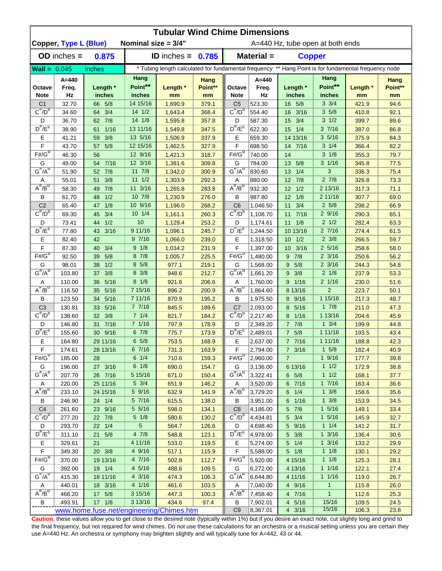|                               | <b>Tubular Wind Chime Dimensions</b> |                                          |                       |                                                                                                      |                 |                                     |                      |                         |                           |                |                 |  |  |  |
|-------------------------------|--------------------------------------|------------------------------------------|-----------------------|------------------------------------------------------------------------------------------------------|-----------------|-------------------------------------|----------------------|-------------------------|---------------------------|----------------|-----------------|--|--|--|
|                               | Copper, Type L (Blue)                |                                          | Nominal size $= 3/4"$ |                                                                                                      |                 | A=440 Hz, tube open at both ends    |                      |                         |                           |                |                 |  |  |  |
|                               | $OD$ inches $=$                      | 0.875                                    |                       | <b>ID</b> inches = $0.785$                                                                           |                 |                                     | Material =           | <b>Copper</b>           |                           |                |                 |  |  |  |
| $\text{Wall} = 0.045$         |                                      | inches                                   |                       | * Tubing length calculated for fundamental frequency ** Hang Point is for fundamental frequency node |                 |                                     |                      |                         |                           |                |                 |  |  |  |
| Octave                        | A=440<br>Freq.                       | Length *                                 | Hang<br>Point**       | Length *                                                                                             | Hang<br>Point** | Octave                              | $A = 440$<br>Freq.   | Length *                | Hang<br>Point**           | Length *       | Hang<br>Point** |  |  |  |
| <b>Note</b><br>C <sub>1</sub> | Hz<br>32.70                          | inches<br>66 5/8                         | inches<br>14 15/16    | mm<br>1,690.9                                                                                        | mm<br>379.1     | <b>Note</b><br>C <sub>5</sub>       | Hz<br>523.30         | inches<br>16 5/8        | inches<br>$3 \frac{3}{4}$ | mm<br>421.9    | mm<br>94.6      |  |  |  |
| $C^{\#}/D^b$                  | 34.60                                | 64 3/4                                   | 14 1/2                | 1,643.4                                                                                              | 368.4           | $C^{\overline{n}}/D^b$              | 554.40               | 16 3/16                 | 35/8                      | 410.8          | 92.1            |  |  |  |
| D                             | 36.70                                | 62 7/8                                   | $14 \frac{1}{8}$      | 1,595.8                                                                                              | 357.8           | D                                   | 587.30               | 15 3/4                  | $3 \frac{1}{2}$           | 399.7          | 89.6            |  |  |  |
| $D^{\#}/E^b$                  | 38.90                                | 1/16<br>61                               | 13 11/16              | 1,549.8                                                                                              | 347.5           | $D^{\#}/E^b$                        | 622.30               | 1/4<br>15               | 37/16                     | 387.0          | 86.8            |  |  |  |
| Е                             | 41.21                                | 3/8<br>59                                | 13 5/16               | 1,506.9                                                                                              | 337.9           | Е                                   | 659.30               | 14 13/16                | 35/16                     | 375.9          | 84.3            |  |  |  |
| F                             | 43.70                                | 5/8<br>57                                | 12 15/16              | 1,462.5                                                                                              | 327.9           | F                                   | 698.50               | 14 7/16                 | $3 \frac{1}{4}$           | 366.4          | 82.2            |  |  |  |
| $F# / G^D$                    | 46.30                                | 56                                       | 12 9/16               | 1,421.3                                                                                              | 318.7           | $F#/\overline{G}^D$                 | 740.00               | 14                      | $3 \frac{1}{8}$           | 355.3          | 79.7            |  |  |  |
| G                             | 49.00                                | 7/16<br>54                               | 12 3/16               | 1,381.6                                                                                              | 309.8           | G                                   | 784.00               | 13<br>5/8               | $3 \frac{1}{16}$          | 345.8          | 77.5            |  |  |  |
| $G^{\#}/A^D$                  | 51.90                                | 7/8<br>52 <sub>2</sub>                   | 11 7/8                | 1,342.0                                                                                              | 300.9           | $G^{\overline{n}}/A^D$              | 830.60               | 13<br>1/4               | 3                         | 336.3          | 75.4            |  |  |  |
| Α                             | 55.01                                | 3/8<br>51                                | $11 \t1/2$            | 1,303.9                                                                                              | 292.3           | Α                                   | 880.00               | 12 7/8                  | $2 \frac{7}{8}$           | 326.8          | 73.3            |  |  |  |
| $A^{\#}/B^D$                  | 58.30                                | 7/8<br>49                                | 11 3/16               | 1,265.8                                                                                              | 283.8           | $A^H/B^D$                           | 932.30               | $12 \t1/2$              | 2 13/16                   | 317.3          | 71.1            |  |  |  |
| В                             | 61.70                                | 1/2<br>48                                | 10 7/8                | 1,230.9                                                                                              | 276.0           | В                                   | 987.80               | 12<br>1/8               | 2 11/16                   | 307.7          | 69.0            |  |  |  |
| C <sub>2</sub>                | 65.40                                | 1/8<br>47                                | 10 9/16               | 1,196.0                                                                                              | 268.2           | C <sub>6</sub>                      | 1,046.50             | 11<br>3/4               | $2\,5/8$                  | 298.2          | 66.9            |  |  |  |
| $C^{\prime\prime}/D^D$        | 69.30                                | 3/4<br>45                                | 101/4                 | 1,161.1                                                                                              | 260.3           | $C^{\prime\prime}/D^D$              | 1,108.70             | 7/16<br>11              | 29/16                     | 290.3          | 65.1            |  |  |  |
| D                             | 73.41                                | 1/2<br>44                                | 10                    | 1,129.4                                                                                              | 253.2           | D                                   | 1,174.61             | 11<br>1/8               | $2 \frac{1}{2}$           | 282.4          | 63.3            |  |  |  |
| $D^{\#}/E^b$                  | 77.80                                | 3/16<br>43                               | 9 11/16               | 1,096.1                                                                                              | 245.7           | $D^{\pi}/E^b$                       | 1,244.50             | 10 13/16                | 27/16                     | 274.4          | 61.5            |  |  |  |
| Е                             | 82.40                                | 42                                       | 97/16                 | 1,066.0                                                                                              | 239.0           | Е                                   | 1,318.50             | $10 \t1/2$              | $2 \frac{3}{8}$           | 266.5          | 59.7            |  |  |  |
| F                             | 87.30                                | 3/4<br>40                                | 9 1/8                 | 1,034.2                                                                                              | 231.9           | F                                   | 1,397.00             | 10 3/16                 | $2\,5/16$                 | 258.6          | 58.0            |  |  |  |
| $F# / G^D$                    | 92.50                                | 5/8<br>39                                | 8 7/8                 | 1,005.7                                                                                              | 225.5           | $F#/\overline{G}^D$                 | 1,480.00             | 7/8<br>9                | $2 \frac{3}{16}$          | 250.6          | 56.2            |  |  |  |
| G                             | 98.01                                | 1/2<br>38                                | 8 5/8                 | 977.1                                                                                                | 219.1           | G                                   | 1,568.00             | 5/8<br>9                | $2 \frac{3}{16}$          | 244.3          | 54.8            |  |  |  |
| $G^{\#}/A^D$                  | 103.80                               | 3/8<br>37                                | 8 3/8                 | 948.6                                                                                                | 212.7           | $G^{\#}/A^D$                        | 1,661.20             | 3/8<br>9                | $2 \frac{1}{8}$           | 237.9          | 53.3            |  |  |  |
| Α                             | 110.00                               | 5/16<br>36                               | $8 \frac{1}{8}$       | 921.6                                                                                                | 206.6           | Α                                   | 1,760.00             | 9 1/16                  | $2 \frac{1}{16}$          | 230.0          | 51.6            |  |  |  |
| $A^{\#}/B^D$                  | 116.50                               | 5/16<br>35                               | 7 15/16               | 896.2                                                                                                | 200.9           | $A^H/B^D$                           | 1,864.60             | 8 13/16                 | $\overline{2}$            | 223.7          | 50.1            |  |  |  |
| В                             | 123.50                               | 5/16<br>34                               | 7 11/16               | 870.9                                                                                                | 195.2           | В                                   | 1,975.50             | 8 9/16                  | 1 15/16                   | 217.3          | 48.7            |  |  |  |
| C <sub>3</sub>                | 130.81                               | 5/16<br>33                               | 77/16                 | 845.5                                                                                                | 189.6           | C7                                  | 2,093.00             | 8 5/16                  | 17/8                      | 211.0          | 47.3            |  |  |  |
| $C^{\#}/D^b$                  | 138.60                               | 32 3/8                                   | 71/4                  | 821.7                                                                                                | 184.2           | $C^{\prime\prime}/D^{\prime\prime}$ | 2,217.40             | 8 1/16                  | 1 13/16                   | 204.6          | 45.9            |  |  |  |
| D                             | 146.80                               | 31 7/16                                  | 7 1/16                | 797.9                                                                                                | 178.9           | D                                   | 2,349.20             | $7 \t7/8$               | $1 \frac{3}{4}$           | 199.9          | 44.8            |  |  |  |
| $D^{\#}/E^b$                  | 155.60                               | 30 9/16                                  | 67/8                  | 775.7                                                                                                | 173.9           | $D^{\#}/E^b$                        | 2,489.01             | 7 5/8                   | 1 11/16                   | 193.5          | 43.4            |  |  |  |
| Е                             | 164.80                               | 29 11/16                                 | 65/8<br>67/16         | 753.5                                                                                                | 168.9           | Е                                   | 2,637.00             | 7 7/16                  | 1 11/16<br>15/8           | 188.8          | 42.3            |  |  |  |
| $\tilde{F}$<br>$F# / G^D$     | 174.61                               | 28 13/16                                 | $6 \t1/4$             | 731.3                                                                                                | 163.9           | F<br>$F#/\overline{G}^D$            | 2,794.00             | $7 \frac{3}{16}$        |                           | 182.4          | 40.9            |  |  |  |
|                               | 185.00                               | 28                                       | 6 1/8                 | 710.6                                                                                                | 159.3           |                                     | 2,960.00             | $\overline{7}$          | 19/16                     | 177.7          | 39.8            |  |  |  |
| G<br>$G^{\#}/A^D$             | 196.00<br>207.70                     | 27 3/16                                  | 5 15/16               | 690.0                                                                                                | 154.7<br>150.4  | G<br>$G^H/A^D$                      | 3,136.00<br>3,322.41 | 6 13/16<br>$6\quad 5/8$ | 11/2<br>11/2              | 172.9<br>168.1 | 38.8<br>37.7    |  |  |  |
| A                             | 220.00                               | 26 7/16<br>25 11/16                      | $5 \frac{3}{4}$       | 671.0<br>651.9                                                                                       | 146.2           | A                                   | 3,520.00             | 6 7/16                  | 17/16                     | 163.4          | 36.6            |  |  |  |
| $A^{\#}/B^D$                  | 233.10                               | 24 15/16                                 | 5 9/16                | 632.9                                                                                                | 141.9           | $A^{\#}/B^D$                        | 3,729.20             | $6 \t1/4$               | $1 \frac{3}{8}$           | 158.6          | 35.6            |  |  |  |
| В                             | 246.90                               | 24 1/4                                   | 5 7/16                | 615.5                                                                                                | 138.0           | В                                   | 3,951.00             | 6 1/16                  | $1 \frac{3}{8}$           | 153.9          | 34.5            |  |  |  |
| C <sub>4</sub>                | 261.60                               | 23 9/16                                  | 5 5/16                | 598.0                                                                                                | 134.1           | C <sub>8</sub>                      | 4,186.00             | 5 7/8                   | $1 \t5/16$                | 149.1          | 33.4            |  |  |  |
| $C^{\#}/D^b$                  | 277.20                               | 22 7/8                                   | $5 \frac{1}{8}$       | 580.6                                                                                                | 130.2           | $C^{\overline{n}}/D^b$              | 4,434.81             | $5 \frac{3}{4}$         | $1 \t5/16$                | 145.9          | 32.7            |  |  |  |
| D                             | 293.70                               | 22 1/4                                   | 5 <sup>5</sup>        | 564.7                                                                                                | 126.6           | D                                   | 4,698.40             | 5 9/16                  | $1 \t1/4$                 | 141.2          | 31.7            |  |  |  |
| $D^{\#}/E^b$                  | 311.10                               | 5/8<br>21                                | 47/8                  | 548.8                                                                                                | 123.1           | $D^{\#}/E^b$                        | 4,978.00             | $5 \frac{3}{8}$         | $1 \frac{3}{16}$          | 136.4          | 30.6            |  |  |  |
| Е                             | 329.61                               | 21                                       | 4 11/16               | 533.0                                                                                                | 119.5           | E.                                  | 5,274.00             | $5 \t1/4$               | $1 \frac{3}{16}$          | 133.2          | 29.9            |  |  |  |
| F                             | 349.30                               | 20 3/8                                   | 4 9/16                | 517.1                                                                                                | 115.9           | F                                   | 5,588.00             | $5 \t1/8$               | $1 \t1/8$                 | 130.1          | 29.2            |  |  |  |
| $F# / G^D$                    | 370.00                               | 19 13/16                                 | 4 7/16                | 502.8                                                                                                | 112.7           | $F# / G^D$                          | 5,920.00             | 4 15/16                 | $1 \t1/8$                 | 125.3          | 28.1            |  |  |  |
| G                             | 392.00                               | 19 1/4                                   | 4 5/16                | 488.6                                                                                                | 109.5           | G                                   | 6,272.00             | 4 13/16                 | 11/16                     | 122.1          | 27.4            |  |  |  |
| $G^{\#}/A^D$                  | 415.30                               | 18 11/16                                 | 4 3/16                | 474.3                                                                                                | 106.3           | $G^H/A^U$                           | 6,644.80             | 4 11/16                 | 11/16                     | 119.0          | 26.7            |  |  |  |
| Α                             | 440.01                               | 18 3/16                                  | 4 1/16                | 461.6                                                                                                | 103.5           | Α                                   | 7,040.00             | 4 9/16                  | $\mathbf{1}$              | 115.8          | 26.0            |  |  |  |
| $A^H/B^D$                     | 466.20                               | 17 5/8                                   | 3 15/16               | 447.3                                                                                                | 100.3           | $A^H/B^D$                           | 7,458.40             | 4 7/16                  | $\mathbf{1}$              | 112.6          | 25.3            |  |  |  |
| B                             | 493.91                               | 17 1/8                                   | 3 13/16               | 434.6                                                                                                | 97.4            | В                                   | 7,902.01             | 4 5/16                  | 15/16                     | 109.5          | 24.5            |  |  |  |
|                               |                                      | www.home.fuse.net/engineering/Chimes.htm |                       |                                                                                                      |                 | C <sub>9</sub>                      | 8,367.01             | 4 3/16                  | 15/16                     | 106.3          | 23.8            |  |  |  |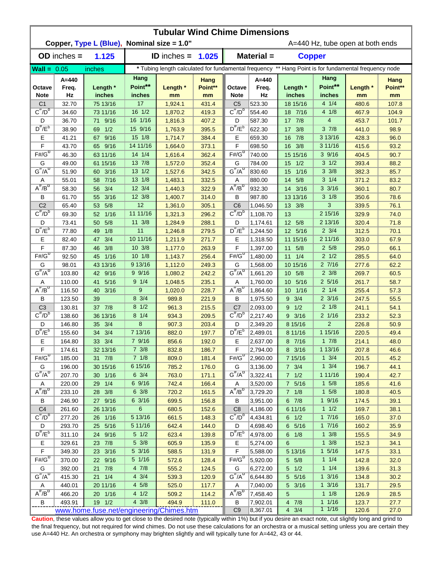|                                          | <b>Tubular Wind Chime Dimensions</b><br>Copper, Type L (Blue), Nominal size = 1.0" |                                          |                                    |                      |                       |                                     |                          |                         |                                    |                                                                                                      |                       |  |  |  |
|------------------------------------------|------------------------------------------------------------------------------------|------------------------------------------|------------------------------------|----------------------|-----------------------|-------------------------------------|--------------------------|-------------------------|------------------------------------|------------------------------------------------------------------------------------------------------|-----------------------|--|--|--|
|                                          |                                                                                    |                                          |                                    |                      |                       | A=440 Hz, tube open at both ends    |                          |                         |                                    |                                                                                                      |                       |  |  |  |
|                                          | $OD$ inches $=$                                                                    | 1.125                                    |                                    | <b>ID</b> inches $=$ | 1.025                 |                                     | Material =               | <b>Copper</b>           |                                    |                                                                                                      |                       |  |  |  |
| $Wall = 0.05$                            |                                                                                    | inches                                   |                                    |                      |                       |                                     |                          |                         |                                    | * Tubing length calculated for fundamental frequency ** Hang Point is for fundamental frequency node |                       |  |  |  |
| Octave<br><b>Note</b>                    | $A = 440$<br>Freq.<br>Hz                                                           | Length *<br>inches                       | Hang<br>Point**<br>inches          | Length *<br>mm       | Hang<br>Point**<br>mm | Octave<br><b>Note</b>               | $A = 440$<br>Freq.<br>Hz | Length *<br>inches      | Hang<br>Point**<br>inches          | Length *<br>mm                                                                                       | Hang<br>Point**<br>mm |  |  |  |
| C <sub>1</sub>                           | 32.70                                                                              | 75 13/16                                 | 17                                 | 1,924.1              | 431.4                 | C <sub>5</sub>                      | 523.30                   | 18 15/16                | $4 \t1/4$                          | 480.6                                                                                                | 107.8                 |  |  |  |
| $C^{\frac{\pi}{}}/D^b$                   | 34.60                                                                              | 73 11/16                                 | $16 \frac{1}{2}$                   | 1,870.2              | 419.3                 | $C^{\#}/D^D$                        | 554.40                   | 18 7/16                 | 4 1/8                              | 467.9                                                                                                | 104.9                 |  |  |  |
| D                                        | 36.70                                                                              | 9/16<br>71                               | 16 1/16                            | 1,816.3              | 407.2                 | D                                   | 587.30                   | 17 7/8                  | 4                                  | 453.7                                                                                                | 101.7                 |  |  |  |
| $D^{\#}/E^b$                             | 38.90                                                                              | 1/2<br>69                                | 15 9/16                            | 1,763.9              | 395.5                 | $D^{\prime\prime}/E^b$              | 622.30                   | 17 3/8                  | 37/8                               | 441.0                                                                                                | 98.9                  |  |  |  |
| Ε                                        | 41.21                                                                              | 9/16<br>67                               | 15 1/8                             | 1,714.7              | 384.4                 | Е                                   | 659.30                   | 7/8<br>16               | 3 13/16                            | 428.3                                                                                                | 96.0                  |  |  |  |
| F                                        | 43.70                                                                              | 65 9/16                                  | 14 11/16                           | 1,664.0              | 373.1                 | F                                   | 698.50                   | 16 3/8                  | 3 11/16                            | 415.6                                                                                                | 93.2                  |  |  |  |
| $F#/\overline{G}^D$                      | 46.30                                                                              | 63 11/16                                 | $14 \frac{1}{4}$                   | 1,616.4              | 362.4                 | $F#/G^D$                            | 740.00                   | 15 15/16                | 39/16                              | 404.5                                                                                                | 90.7                  |  |  |  |
| G                                        | 49.00                                                                              | 61 15/16                                 | 13 7/8                             | 1,572.0              | 352.4                 | G                                   | 784.00                   | 1/2<br>15 <sub>1</sub>  | $3 \frac{1}{2}$                    | 393.4                                                                                                | 88.2                  |  |  |  |
| $G^{\#}/A^D$                             | 51.90                                                                              | 60 3/16                                  | 13 1/2                             | 1,527.6              | 342.5                 | $G^H/A^D$                           | 830.60                   | 1/16<br>15              | $3 \frac{3}{8}$                    | 382.3                                                                                                | 85.7                  |  |  |  |
| A                                        | 55.01                                                                              | 7/16<br>58                               | 13 1/8                             | 1,483.1              | 332.5                 | Α                                   | 880.00                   | 5/8<br>14               | $3 \frac{1}{4}$                    | 371.2                                                                                                | 83.2                  |  |  |  |
| $A^{\#}/B^D$                             | 58.30                                                                              | 3/4<br>56                                | 12 3/4                             | 1,440.3              | 322.9                 | $A^{\#}/B^D$                        | 932.30                   | 14 3/16                 | $3 \frac{3}{16}$                   | 360.1                                                                                                | 80.7                  |  |  |  |
| В                                        | 61.70                                                                              | 3/16<br>55                               | 12 3/8                             | 1,400.7              | 314.0                 | В                                   | 987.80                   | 13 13/16                | $3 \frac{1}{8}$                    | 350.6                                                                                                | 78.6                  |  |  |  |
| C <sub>2</sub>                           | 65.40                                                                              | 5/8<br>53                                | 12                                 | 1,361.0              | 305.1                 | C <sub>6</sub>                      | 1,046.50                 | 13 3/8                  | 3                                  | 339.5                                                                                                | 76.1                  |  |  |  |
| $C^{\prime\prime}/D^D$                   | 69.30                                                                              | 1/16<br>52                               | 11 11/16                           | 1,321.3              | 296.2                 | $C^{\prime\prime}/D^D$              | 1,108.70                 | 13                      | 2 15/16                            | 329.9                                                                                                | 74.0                  |  |  |  |
| D<br>$D^{\pi}/E^b$                       | 73.41                                                                              | 5/8<br>50                                | 11 3/8                             | 1,284.9              | 288.1                 | D<br>$D^{\pi}/E^b$                  | 1,174.61                 | 12 5/8                  | 2 13/16                            | 320.4                                                                                                | 71.8                  |  |  |  |
| Е                                        | 77.80                                                                              | 1/8<br>49<br>3/4                         | 11<br>10 11/16                     | 1,246.8              | 279.5                 |                                     | 1,244.50                 | 12 5/16                 | $2 \frac{3}{4}$<br>2 11/16         | 312.5                                                                                                | 70.1                  |  |  |  |
| F                                        | 82.40<br>87.30                                                                     | 47<br>3/8<br>46                          | 10 3/8                             | 1,211.9<br>1,177.0   | 271.7<br>263.9        | Е<br>F                              | 1,318.50<br>1,397.00     | 11 15/16<br>5/8<br>11   | $2\,5/8$                           | 303.0<br>295.0                                                                                       | 67.9<br>66.1          |  |  |  |
| $F# / G^D$                               | 92.50                                                                              | 45 1/16                                  | $10 \t1/8$                         | 1,143.7              | 256.4                 | $F# / G^D$                          | 1,480.00                 | 1/4<br>11               | $2 \frac{1}{2}$                    | 285.5                                                                                                | 64.0                  |  |  |  |
| G                                        | 98.01                                                                              | 43 13/16                                 | 9 13/16                            | 1,112.0              | 249.3                 | G                                   | 1,568.00                 | 10 15/16                | 27/16                              | 277.6                                                                                                | 62.2                  |  |  |  |
| $G^{\overline{n}}/A^D$                   | 103.80                                                                             | 42 9/16                                  | 99/16                              | 1,080.2              | 242.2                 | $G^{\#}/A^D$                        | 1,661.20                 | 5/8<br>10 <sup>°</sup>  | $2 \frac{3}{8}$                    | 269.7                                                                                                | 60.5                  |  |  |  |
| Α                                        | 110.00                                                                             | 5/16<br>41                               | $9 \t1/4$                          | 1,048.5              | 235.1                 | Α                                   | 1,760.00                 | 10<br>5/16              | $2\,5/16$                          | 261.7                                                                                                | 58.7                  |  |  |  |
| $A^H/B^D$                                | 116.50                                                                             | 40<br>3/16                               | 9                                  | 1,020.0              | 228.7                 | $A^{\#}/B^D$                        | 1,864.60                 | 10 <sup>°</sup><br>1/16 | $2 \t1/4$                          | 255.4                                                                                                | 57.3                  |  |  |  |
| В                                        | 123.50                                                                             | 39                                       | 8 3/4                              | 989.8                | 221.9                 | В                                   | 1,975.50                 | 3/4<br>9                | $2 \frac{3}{16}$                   | 247.5                                                                                                | 55.5                  |  |  |  |
| C <sub>3</sub>                           | 130.81                                                                             | 37 7/8                                   | $8 \frac{1}{2}$                    | 961.3                | 215.5                 | C <sub>7</sub>                      | 2,093.00                 | 1/2<br>9                | $2 \frac{1}{8}$                    | 241.1                                                                                                | 54.1                  |  |  |  |
| $C^{\prime\prime}/D^b$                   | 138.60                                                                             | 36 13/16                                 | $8 \t1/4$                          | 934.3                | 209.5                 | $C^{\prime\prime}/D^{\prime\prime}$ | 2,217.40                 | $9 \frac{3}{16}$        | $2 \frac{1}{16}$                   | 233.2                                                                                                | 52.3                  |  |  |  |
| D                                        | 146.80                                                                             | 3/4<br>35 <sub>2</sub>                   | 8                                  | 907.3                | 203.4                 | D                                   | 2,349.20                 | 8 15/16                 | $\overline{2}$                     | 226.8                                                                                                | 50.9                  |  |  |  |
| $D^{\prime\prime}/E^b$                   | 155.60                                                                             | 3/4<br>34                                | 7 13/16                            | 882.0                | 197.7                 | $D^{\#}/E^b$                        | 2,489.01                 | 8 11/16                 | 1 15/16                            | 220.5                                                                                                | 49.4                  |  |  |  |
| Е                                        | 164.80                                                                             | 33 3/4                                   | 7 9/16                             | 856.6                | 192.0                 | Е                                   | 2,637.00                 | 8 7/16                  | 17/8                               | 214.1                                                                                                | 48.0                  |  |  |  |
| F                                        | 174.61                                                                             | 32 13/16                                 | 7 3/8                              | 832.8                | 186.7                 | F                                   | 2,794.00                 | 8 3/16                  | 1 13/16                            | 207.8                                                                                                | 46.6                  |  |  |  |
| $F#/\overline{G}^D$                      | 185.00                                                                             | 31 7/8                                   | 7 1/8                              | 809.0                | 181.4                 | $F#/\overline{G}^D$                 | 2,960.00                 | 7 15/16                 | $1 \frac{3}{4}$                    | 201.5                                                                                                | 45.2                  |  |  |  |
| G                                        | 196.00                                                                             | 30 15/16                                 | 6 15/16                            | 785.2                | 176.0                 | G                                   | 3,136.00                 | $7 \frac{3}{4}$         | $1 \frac{3}{4}$                    | 196.7                                                                                                | 44.1                  |  |  |  |
| $G^{\#}/A^D$                             | 207.70                                                                             | 30 1/16                                  | $6 \frac{3}{4}$                    | 763.0                | 171.1                 | $G^H/A^D$                           | 3,322.41                 | $7 \t1/2$               | 1 11/16                            | 190.4                                                                                                | 42.7                  |  |  |  |
| Α                                        | 220.00                                                                             | 29 1/4                                   | 6 9/16                             | 742.4                | 166.4                 | Α                                   | 3,520.00                 | 7 5/16                  | $1 \t5/8$                          | 185.6                                                                                                | 41.6                  |  |  |  |
| $A^{\#}/B^D$                             | 233.10                                                                             | 28 3/8                                   | $6 \frac{3}{8}$                    | 720.2                | 161.5                 | $A^{\overline{n}}/B^{\overline{D}}$ | 3,729.20                 | $7 \t1/8$               | $1 \t5/8$                          | 180.8                                                                                                | 40.5                  |  |  |  |
| В                                        | 246.90                                                                             | 27 9/16                                  | 6 3/16                             | 699.5                | 156.8                 | В                                   | 3,951.00                 | $6 \t7/8$               | 19/16                              | 174.5                                                                                                | 39.1                  |  |  |  |
| C <sub>4</sub><br>$C^{\frac{\pi}{}}/D^b$ | 261.60                                                                             | 26 13/16                                 | 6                                  | 680.5                | 152.6                 | C <sub>8</sub><br>$C^{\#}/D^D$      | 4,186.00                 | 6 11/16                 | 11/2                               | 169.7                                                                                                | 38.1                  |  |  |  |
|                                          | 277.20                                                                             | 26 1/16                                  | 5 13/16                            | 661.5                | 148.3                 |                                     | 4,434.81                 | $6 \t1/2$               | 17/16                              | 165.0                                                                                                | 37.0                  |  |  |  |
| D<br>$D^{\frac{\pi}{r}}/E^b$             | 293.70                                                                             | 25 5/16                                  | 5 11/16                            | 642.4                | 144.0                 | D<br>$D^{\#}/E^b$                   | 4,698.40                 | 6 5/16                  | 17/16                              | 160.2                                                                                                | 35.9                  |  |  |  |
| Е                                        | 311.10<br>329.61                                                                   | 24 9/16<br>23 7/8                        | $5 \frac{1}{2}$<br>$5 \frac{3}{8}$ | 623.4<br>605.9       | 139.8<br>135.9        | Е                                   | 4,978.00<br>5,274.00     | $6 \t1/8$<br>6          | $1 \frac{3}{8}$<br>$1 \frac{3}{8}$ | 155.5<br>152.3                                                                                       | 34.9<br>34.1          |  |  |  |
| F                                        | 349.30                                                                             | 23 3/16                                  | 5 3/16                             | 588.5                | 131.9                 | F                                   | 5,588.00                 | 5 13/16                 | $1 \frac{5}{16}$                   | 147.5                                                                                                | 33.1                  |  |  |  |
| $F# / G^D$                               | 370.00                                                                             | 22 9/16                                  | 5 1/16                             | 572.6                | 128.4                 | $F# / G^D$                          | 5,920.00                 | 5 5/8                   | $1 \t1/4$                          | 142.8                                                                                                | 32.0                  |  |  |  |
| G                                        | 392.00                                                                             | 21 7/8                                   | $4 \t7/8$                          | 555.2                | 124.5                 | G                                   | 6,272.00                 | $5 \t1/2$               | $1 \t1/4$                          | 139.6                                                                                                | 31.3                  |  |  |  |
| $G^{\#}/A^D$                             | 415.30                                                                             | $21 \t1/4$                               | $4 \frac{3}{4}$                    | 539.3                | 120.9                 | $G^H/A^D$                           | 6,644.80                 | 5 5/16                  | $1 \frac{3}{16}$                   | 134.8                                                                                                | 30.2                  |  |  |  |
| A                                        | 440.01                                                                             | 20 11/16                                 | $4\,5/8$                           | 525.0                | 117.7                 | Α                                   | 7,040.00                 | 5 3/16                  | $1 \frac{3}{16}$                   | 131.7                                                                                                | 29.5                  |  |  |  |
| $A^H/B^D$                                | 466.20                                                                             | 20 1/16                                  | 4 1/2                              | 509.2                | 114.2                 | $A^H/B^D$                           | 7,458.40                 | 5                       | $1 \t1/8$                          | 126.9                                                                                                | 28.5                  |  |  |  |
| В                                        | 493.91                                                                             | 19 1/2                                   | $4 \frac{3}{8}$                    | 494.9                | 111.0                 | B                                   | 7,902.01                 | 4 7/8                   | 11/16                              | 123.7                                                                                                | 27.7                  |  |  |  |
|                                          |                                                                                    | www.home.fuse.net/engineering/Chimes.htm |                                    |                      |                       | C <sub>9</sub>                      | 8,367.01                 | $4 \t3/4$               | 11/16                              | 120.6                                                                                                | 27.0                  |  |  |  |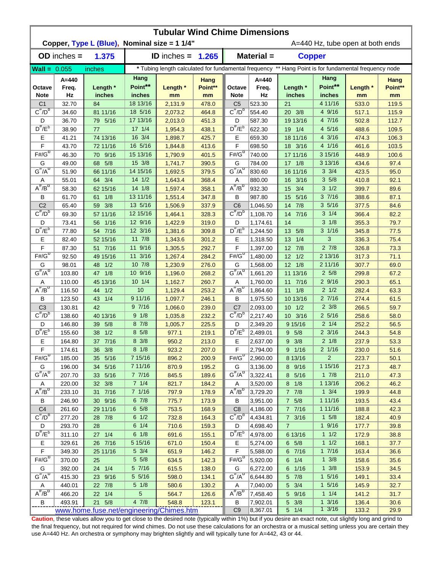|                                          | <b>Tubular Wind Chime Dimensions</b><br>Copper, Type L (Blue), Nominal size = 1 1/4"<br>A=440 Hz, tube open at both ends |                                          |                            |                    |                       |                                     |                                                                                                      |                                     |                                     |                |                       |  |  |  |
|------------------------------------------|--------------------------------------------------------------------------------------------------------------------------|------------------------------------------|----------------------------|--------------------|-----------------------|-------------------------------------|------------------------------------------------------------------------------------------------------|-------------------------------------|-------------------------------------|----------------|-----------------------|--|--|--|
|                                          | $OD$ inches $=$                                                                                                          | 1.375                                    |                            | ID inches $=$      | 1.265                 |                                     | Material =                                                                                           | <b>Copper</b>                       |                                     |                |                       |  |  |  |
| $\text{Wall} = 0.055$                    |                                                                                                                          | inches                                   |                            |                    |                       |                                     | * Tubing length calculated for fundamental frequency ** Hang Point is for fundamental frequency node |                                     |                                     |                |                       |  |  |  |
|                                          |                                                                                                                          |                                          | Hang                       |                    |                       |                                     |                                                                                                      |                                     | Hang                                |                |                       |  |  |  |
| Octave<br><b>Note</b>                    | $A = 440$<br>Freq.<br>Hz                                                                                                 | Length *<br>inches                       | Point**<br>inches          | Length *<br>mm     | Hang<br>Point**<br>mm | Octave<br><b>Note</b>               | $A = 440$<br>Freq.<br>Hz                                                                             | Length *<br>inches                  | Point**<br>inches                   | Length *<br>mm | Hang<br>Point**<br>mm |  |  |  |
| C <sub>1</sub>                           | 32.70                                                                                                                    | 84                                       | 18 13/16                   | 2,131.9            | 478.0                 | C <sub>5</sub>                      | 523.30                                                                                               | 21                                  | 4 11/16                             | 533.0          | 119.5                 |  |  |  |
| $C^{\frac{\pi}{}}/D^b$                   | 34.60                                                                                                                    | 81 11/16                                 | 18 5/16                    | 2,073.2            | 464.8                 | $C^{\#}/D^D$                        | 554.40                                                                                               | 20 3/8                              | 4 9/16                              | 517.1          | 115.9                 |  |  |  |
| D                                        | 36.70                                                                                                                    | 79 5/16                                  | 17 13/16                   | 2,013.0            | 451.3                 | D                                   | 587.30                                                                                               | 19 13/16                            | 4 7/16                              | 502.8          | 112.7                 |  |  |  |
| $D^{\#}/E^b$                             | 38.90                                                                                                                    | 77                                       | $17 \frac{1}{4}$           | 1,954.3            | 438.1                 | $D^{\prime\prime}/E^b$              | 622.30                                                                                               | 19 1/4                              | 4 5/16                              | 488.6          | 109.5                 |  |  |  |
| Ε                                        | 41.21                                                                                                                    | 74 13/16                                 | 16 3/4                     | 1,898.7            | 425.7                 | Е                                   | 659.30                                                                                               | 18 11/16                            | 4 3/16                              | 474.3          | 106.3                 |  |  |  |
| F                                        | 43.70                                                                                                                    | 72 11/16                                 | 16 5/16                    | 1,844.8            | 413.6                 | F                                   | 698.50                                                                                               | 18 3/16                             | 4 1/16                              | 461.6          | 103.5                 |  |  |  |
| $F# / G^D$                               | 46.30                                                                                                                    | 70 9/16                                  | 15 13/16                   | 1,790.9            | 401.5                 | $F# / G^D$                          | 740.00                                                                                               | 17 11/16                            | 3 15/16                             | 448.9          | 100.6                 |  |  |  |
| G                                        | 49.00                                                                                                                    | 68 5/8                                   | 15 3/8                     | 1,741.7            | 390.5                 | G                                   | 784.00                                                                                               | $17 \t1/8$                          | 3 13/16                             | 434.6          | 97.4                  |  |  |  |
| $G^{\#}/A^D$                             | 51.90                                                                                                                    | 66 11/16                                 | 14 15/16                   | 1,692.5            | 379.5                 | $G^H/A^U$                           | 830.60                                                                                               | 16 11/16                            | $3 \frac{3}{4}$                     | 423.5          | 95.0                  |  |  |  |
| Α                                        | 55.01                                                                                                                    | 64 3/4                                   | $14 \frac{1}{2}$           | 1,643.4            | 368.4                 | Α                                   | 880.00                                                                                               | 16 3/16                             | 35/8                                | 410.8          | 92.1                  |  |  |  |
| $A^H/B^D$                                | 58.30                                                                                                                    | 62 15/16                                 | 14 1/8                     | 1,597.4            | 358.1                 | $A^{\#}/B^D$                        | 932.30                                                                                               | 3/4<br>15                           | $3 \frac{1}{2}$                     | 399.7          | 89.6                  |  |  |  |
| B                                        | 61.70                                                                                                                    | 1/8<br>61                                | 13 11/16                   | 1,551.4            | 347.8                 | B                                   | 987.80                                                                                               | 5/16<br>15                          | 37/16                               | 388.6          | 87.1                  |  |  |  |
| C <sub>2</sub><br>$C^{\prime\prime}/D^D$ | 65.40                                                                                                                    | 59 3/8                                   | 13 5/16                    | 1,506.9            | 337.9                 | C <sub>6</sub>                      | 1,046.50                                                                                             | 7/8<br>14                           | 35/16                               | 377.5          | 84.6                  |  |  |  |
|                                          | 69.30                                                                                                                    | 57 11/16                                 | 12 15/16                   | 1,464.1            | 328.3                 | $C^{\prime\prime}/D^D$              | 1,108.70                                                                                             | 7/16<br>14                          | $3 \t1/4$                           | 366.4          | 82.2                  |  |  |  |
| D<br>$D^{\frac{\pi}{}}/E^b$              | 73.41                                                                                                                    | 56 1/16                                  | 12 9/16<br>12 3/16         | 1,422.9            | 319.0                 | D<br>$D^{\#}/E^b$                   | 1,174.61                                                                                             | 14                                  | $3 \frac{1}{8}$<br>$3 \frac{1}{16}$ | 355.3          | 79.7                  |  |  |  |
| Е                                        | 77.80                                                                                                                    | 54 7/16                                  | 11 7/8                     | 1,381.6            | 309.8                 | Е                                   | 1,244.50                                                                                             | 13 5/8                              | 3                                   | 345.8          | 77.5<br>75.4          |  |  |  |
| F                                        | 82.40<br>87.30                                                                                                           | 52 15/16<br>51 7/16                      | 11 9/16                    | 1,343.6<br>1,305.5 | 301.2<br>292.7        | F                                   | 1,318.50<br>1,397.00                                                                                 | 13<br>1/4<br>7/8<br>12 <sup>2</sup> | $2 \frac{7}{8}$                     | 336.3<br>326.8 | 73.3                  |  |  |  |
| $F# / G^D$                               | 92.50                                                                                                                    | 49 15/16                                 | 11 3/16                    | 1,267.4            | 284.2                 | $F# / G^D$                          | 1,480.00                                                                                             | 12<br>1/2                           | 2 13/16                             | 317.3          | 71.1                  |  |  |  |
| G                                        | 98.01                                                                                                                    | 48 1/2                                   | 10 7/8                     | 1,230.9            | 276.0                 | G                                   | 1,568.00                                                                                             | 1/8<br>12                           | 2 11/16                             | 307.7          | 69.0                  |  |  |  |
| $G^{\#}/A^D$                             | 103.80                                                                                                                   | 1/8<br>47                                | 10 9/16                    | 1,196.0            | 268.2                 | $G^{\#}/A^D$                        | 1,661.20                                                                                             | 11 13/16                            | $2\,5/8$                            | 299.8          | 67.2                  |  |  |  |
| Α                                        | 110.00                                                                                                                   | 45 13/16                                 | 101/4                      | 1,162.7            | 260.7                 | Α                                   | 1,760.00                                                                                             | 11 7/16                             | 29/16                               | 290.3          | 65.1                  |  |  |  |
| $A^H/B^D$                                | 116.50                                                                                                                   | 44<br>1/2                                | 10                         | 1,129.4            | 253.2                 | $A^{\overline{n}}/B^{\overline{D}}$ | 1,864.60                                                                                             | $11 \t1/8$                          | $2 \frac{1}{2}$                     | 282.4          | 63.3                  |  |  |  |
| В                                        | 123.50                                                                                                                   | 1/4<br>43                                | 9 11/16                    | 1,097.7            | 246.1                 | В                                   | 1,975.50                                                                                             | 10 13/16                            | 27/16                               | 274.4          | 61.5                  |  |  |  |
| C <sub>3</sub>                           | 130.81                                                                                                                   | 42                                       | 97/16                      | 1,066.0            | 239.0                 | C <sub>7</sub>                      | 2,093.00                                                                                             | $10 \t1/2$                          | $2 \frac{3}{8}$                     | 266.5          | 59.7                  |  |  |  |
| $C^{\overline{r}}/D^b$                   | 138.60                                                                                                                   | 40 13/16                                 | 9 1/8                      | 1,035.8            | 232.2                 | $C^{\#}/D^b$                        | 2.217.40                                                                                             | 10 3/16                             | $2\frac{5}{16}$                     | 258.6          | 58.0                  |  |  |  |
| D                                        | 146.80                                                                                                                   | 5/8<br>39                                | 8 7/8                      | 1,005.7            | 225.5                 | D                                   | 2,349.20                                                                                             | 9 15/16                             | $2 \frac{1}{4}$                     | 252.2          | 56.5                  |  |  |  |
| $D^{\prime\prime}/E^b$                   | 155.60                                                                                                                   | 1/2<br>38                                | 8 5/8                      | 977.1              | 219.1                 | $D^{\#}/E^b$                        | 2,489.01                                                                                             | 9 5/8                               | $2 \frac{3}{16}$                    | 244.3          | 54.8                  |  |  |  |
| Е                                        | 164.80                                                                                                                   | 37 7/16                                  | $8 \frac{3}{8}$            | 950.2              | 213.0                 | Е                                   | 2,637.00                                                                                             | $9 \frac{3}{8}$                     | $2 \frac{1}{8}$                     | 237.9          | 53.3                  |  |  |  |
| F                                        | 174.61                                                                                                                   | 36 3/8                                   | $8 \frac{1}{8}$            | 923.2              | 207.0                 | F                                   | 2,794.00                                                                                             | 9 1/16                              | 2 1/16                              | 230.0          | 51.6                  |  |  |  |
| $F#/\overline{G}^D$                      | 185.00                                                                                                                   | 35 5/16                                  | 7 15/16                    | 896.2              | 200.9                 | $F#/\overline{G}^D$                 | 2,960.00                                                                                             | 8 13/16                             | $\overline{2}$                      | 223.7          | 50.1                  |  |  |  |
| G                                        | 196.00                                                                                                                   | 34 5/16                                  | 7 11/16                    | 870.9              | 195.2                 | G                                   | 3,136.00                                                                                             | 8 9/16                              | 1 15/16                             | 217.3          | 48.7                  |  |  |  |
| $G^{\#}/A^D$                             | 207.70                                                                                                                   | 33 5/16                                  | 7 7/16                     | 845.5              | 189.6                 | $G^H/A^D$                           | 3,322.41                                                                                             | 8 5/16                              | $1 \t7/8$                           | 211.0          | 47.3                  |  |  |  |
| Α                                        | 220.00                                                                                                                   | 32 3/8                                   | 7 1/4                      | 821.7              | 184.2                 | Α                                   | 3,520.00                                                                                             | $8 \t1/8$                           | 1 13/16                             | 206.2          | 46.2                  |  |  |  |
| $A^{\#}/B^D$                             | 233.10                                                                                                                   | 31 7/16                                  | 7 1/16                     | 797.9              | 178.9                 | $A^{\overline{n}}/B^D$              | 3,729.20                                                                                             | $7 \t7/8$                           | $1 \frac{3}{4}$                     | 199.9          | 44.8                  |  |  |  |
| B                                        | 246.90                                                                                                                   | 30 9/16                                  | 67/8                       | 775.7              | 173.9                 | В                                   | 3,951.00                                                                                             | $7 \t5/8$                           | 1 11/16                             | 193.5          | 43.4                  |  |  |  |
| C <sub>4</sub>                           | 261.60                                                                                                                   | 29 11/16                                 | $6\;5/8$                   | 753.5              | 168.9                 | C <sub>8</sub>                      | 4,186.00                                                                                             | 7 7/16                              | 1 11/16                             | 188.8          | 42.3                  |  |  |  |
| $C^{\frac{\pi}{}}/D^b$                   | 277.20                                                                                                                   | 28 7/8                                   | $6 \frac{1}{2}$            | 732.8              | 164.3                 | $C^{\#}/D^{\overline{D}}$           | 4,434.81                                                                                             | $7 \frac{3}{16}$                    | $1 \t5/8$                           | 182.4          | 40.9                  |  |  |  |
| D                                        | 293.70                                                                                                                   | 28                                       | $6 \t1/4$                  | 710.6              | 159.3                 | D                                   | 4,698.40                                                                                             | $\overline{7}$                      | $1 \frac{9}{16}$                    | 177.7          | 39.8                  |  |  |  |
| $D^{\frac{\pi}{r}}/E^b$                  | 311.10                                                                                                                   | 27 1/4                                   | 6 1/8                      | 691.6              | 155.1                 | $D^{\#}/E^b$                        | 4,978.00                                                                                             | 6 13/16                             | 11/2                                | 172.9          | 38.8                  |  |  |  |
| Е                                        | 329.61                                                                                                                   | 26 7/16                                  | 5 15/16<br>$5 \frac{3}{4}$ | 671.0              | 150.4                 | Е                                   | 5,274.00                                                                                             | $6\quad 5/8$                        | $1 \frac{1}{2}$                     | 168.1          | 37.7                  |  |  |  |
| $\mathsf F$<br>$F# / G^D$                | 349.30<br>370.00                                                                                                         | 25 11/16                                 | $5 \frac{5}{8}$            | 651.9              | 146.2<br>142.3        | F<br>$F# / G^D$                     | 5,588.00                                                                                             | 6 7/16                              | 17/16<br>$1 \frac{3}{8}$            | 163.4          | 36.6<br>35.6          |  |  |  |
|                                          |                                                                                                                          | 25                                       | 5 7/16                     | 634.5              |                       |                                     | 5,920.00                                                                                             | $6 \t1/4$                           | $1 \frac{3}{8}$                     | 158.6          |                       |  |  |  |
| G<br>$G^{\#}/A^D$                        | 392.00<br>415.30                                                                                                         | 24 1/4<br>23 9/16                        | 5 5/16                     | 615.5<br>598.0     | 138.0<br>134.1        | G<br>$G^H/A^D$                      | 6,272.00<br>6,644.80                                                                                 | 6 1/16<br>5 7/8                     | $1 \frac{5}{16}$                    | 153.9<br>149.1 | 34.5<br>33.4          |  |  |  |
| A                                        | 440.01                                                                                                                   | 22 7/8                                   | $5 \frac{1}{8}$            | 580.6              | 130.2                 | A                                   | 7,040.00                                                                                             | $5 \frac{3}{4}$                     | $1 \frac{5}{16}$                    | 145.9          | 32.7                  |  |  |  |
| $A^{\#}/B^D$                             | 466.20                                                                                                                   | 22 1/4                                   | $\overline{5}$             | 564.7              | 126.6                 | $A^H/B^D$                           | 7,458.40                                                                                             | 5 9/16                              | $1 \t1/4$                           | 141.2          | 31.7                  |  |  |  |
| B                                        | 493.91                                                                                                                   | 21 5/8                                   | 4 7/8                      | 548.8              | 123.1                 | В                                   | 7,902.01                                                                                             | $5 \frac{3}{8}$                     | $1 \frac{3}{16}$                    | 136.4          | 30.6                  |  |  |  |
|                                          |                                                                                                                          | www.home.fuse.net/engineering/Chimes.htm |                            |                    |                       | C <sub>9</sub>                      | 8,367.01                                                                                             | $5 \t1/4$                           | $1 \frac{3}{16}$                    | 133.2          | 29.9                  |  |  |  |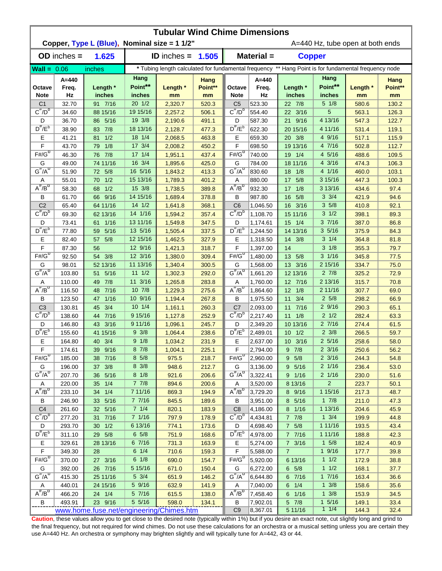|                                | <b>Tubular Wind Chime Dimensions</b> |                                              |                             |                    |                       |                                                                                                      |                          |                                    |                               |                                  |                              |  |  |  |
|--------------------------------|--------------------------------------|----------------------------------------------|-----------------------------|--------------------|-----------------------|------------------------------------------------------------------------------------------------------|--------------------------|------------------------------------|-------------------------------|----------------------------------|------------------------------|--|--|--|
|                                |                                      | Copper, Type L (Blue), Nominal size = 1 1/2" |                             |                    |                       |                                                                                                      |                          |                                    |                               | A=440 Hz, tube open at both ends |                              |  |  |  |
|                                | $OD$ inches $=$                      | 1.625                                        |                             | ID inches $=$      | 1.505                 |                                                                                                      | Material =               | <b>Copper</b>                      |                               |                                  |                              |  |  |  |
| $Wall = 0.06$                  |                                      | inches                                       |                             |                    |                       | * Tubing length calculated for fundamental frequency ** Hang Point is for fundamental frequency node |                          |                                    |                               |                                  |                              |  |  |  |
| Octave<br><b>Note</b>          | $A = 440$<br>Freq.<br>Hz             | Length *<br>inches                           | Hang<br>Point**<br>inches   | Length *<br>mm     | Hang<br>Point**<br>mm | Octave<br><b>Note</b>                                                                                | $A = 440$<br>Freq.<br>Hz | Length *<br>inches                 | Hang<br>Point**<br>inches     | Length *<br>mm                   | <b>Hang</b><br>Point**<br>mm |  |  |  |
| C <sub>1</sub>                 | 32.70                                | 91 7/16                                      | $20 \frac{1}{2}$            | 2,320.7            | 520.3                 | C <sub>5</sub>                                                                                       | 523.30                   | 22 7/8                             | $5 \frac{1}{8}$               | 580.6                            | 130.2                        |  |  |  |
| $C^{\overline{n}}/D^b$         | 34.60                                | 88 15/16                                     | 19 15/16                    | 2,257.2            | 506.1                 | $C^{\pi}/D^b$                                                                                        | 554.40                   | 22 3/16                            | 5                             | 563.1                            | 126.3                        |  |  |  |
| D                              | 36.70                                | 86 5/16                                      | 19 3/8                      | 2,190.6            | 491.1                 | D                                                                                                    | 587.30                   | 21 9/16                            | 4 13/16                       | 547.3                            | 122.7                        |  |  |  |
| $D^{\#}/E^b$                   | 38.90                                | 83 7/8                                       | 18 13/16                    | 2,128.7            | 477.3                 | $D^{\#}/E^b$                                                                                         | 622.30                   | 20 15/16                           | 4 11/16                       | 531.4                            | 119.1                        |  |  |  |
| Е                              | 41.21                                | 1/2<br>81                                    | $18 \frac{1}{4}$            | 2,068.5            | 463.8                 | Е                                                                                                    | 659.30                   | 20 3/8                             | 49/16                         | 517.1                            | 115.9                        |  |  |  |
| F                              | 43.70                                | 1/8<br>79                                    | 17 3/4                      | 2,008.2            | 450.2                 | F                                                                                                    | 698.50                   | 19 13/16                           | 4 7/16                        | 502.8                            | 112.7                        |  |  |  |
| $F# / G^D$                     | 46.30                                | 76 7/8                                       | $17 \t1/4$                  | 1,951.1            | 437.4                 | $F# / G^D$                                                                                           | 740.00                   | 19 1/4                             | 4 5/16                        | 488.6                            | 109.5                        |  |  |  |
| G                              | 49.00                                | 74 11/16                                     | 16 3/4                      | 1,895.6            | 425.0                 | G                                                                                                    | 784.00                   | 18 11/16                           | 4 3/16                        | 474.3                            | 106.3                        |  |  |  |
| $G^{\#}/A^D$                   | 51.90                                | 5/8<br>72                                    | 16 5/16                     | 1,843.2            | 413.3                 | $G^{\#}/A^{\cup}$                                                                                    | 830.60                   | 18<br>1/8                          | 4 1/16                        | 460.0                            | 103.1                        |  |  |  |
| Α<br>$A^H/B^D$                 | 55.01                                | 1/2<br>70                                    | 15 13/16                    | 1,789.3            | 401.2                 | Α                                                                                                    | 880.00                   | 17 5/8                             | 3 15/16                       | 447.3                            | 100.3                        |  |  |  |
|                                | 58.30                                | 1/2<br>68                                    | 15 3/8                      | 1,738.5            | 389.8                 | $A^{\#}/B^D$                                                                                         | 932.30                   | 1/8<br>17                          | 3 13/16                       | 434.6                            | 97.4                         |  |  |  |
| В<br>C <sub>2</sub>            | 61.70                                | 66 9/16                                      | 14 15/16                    | 1,689.4            | 378.8                 | В                                                                                                    | 987.80                   | 5/8<br>16                          | $3 \frac{3}{4}$               | 421.9                            | 94.6                         |  |  |  |
| $C^{\overline{n}}/D^D$         | 65.40                                | 64 11/16                                     | $14 \frac{1}{2}$<br>14 1/16 | 1,641.8            | 368.1                 | C <sub>6</sub><br>$C^{\#}/D^D$                                                                       | 1,046.50                 | 16 3/16                            | 35/8<br>$3 \frac{1}{2}$       | 410.8                            | 92.1                         |  |  |  |
| D                              | 69.30<br>73.41                       | 62 13/16<br>61 1/16                          | 13 11/16                    | 1,594.2<br>1,549.8 | 357.4<br>347.5        | D                                                                                                    | 1,108.70<br>1,174.61     | 15 11/16<br>$15 \t1/4$             | 37/16                         | 398.1<br>387.0                   | 89.3<br>86.8                 |  |  |  |
| $D^{\pi}/E^b$                  | 77.80                                | 5/16<br>59                                   | 13 5/16                     | 1,505.4            | 337.5                 | $D^{\#}/E^b$                                                                                         | 1,244.50                 | 14 13/16                           | 35/16                         | 375.9                            | 84.3                         |  |  |  |
| Е                              | 82.40                                | 5/8<br>57                                    | 12 15/16                    | 1,462.5            | 327.9                 | E                                                                                                    | 1,318.50                 | 14 3/8                             | $3 \frac{1}{4}$               | 364.8                            | 81.8                         |  |  |  |
| F                              | 87.30                                | 56                                           | 12 9/16                     | 1,421.3            | 318.7                 | F                                                                                                    | 1,397.00                 | 14                                 | $3 \frac{1}{8}$               | 355.3                            | 79.7                         |  |  |  |
| $F\sharp/\overline{G^D}$       | 92.50                                | 54 3/8                                       | 12 3/16                     | 1,380.0            | 309.4                 | $F#/\overline{G}^D$                                                                                  | 1,480.00                 | 13 5/8                             | $3 \frac{1}{16}$              | 345.8                            | 77.5                         |  |  |  |
| G                              | 98.01                                | 52 13/16                                     | 11 13/16                    | 1,340.4            | 300.5                 | G                                                                                                    | 1,568.00                 | 13 3/16                            | 2 15/16                       | 334.7                            | 75.0                         |  |  |  |
| $G^{\#}/A^D$                   | 103.80                               | 5/16<br>51                                   | $11 \t1/2$                  | 1,302.3            | 292.0                 | $G^{\#}/A^D$                                                                                         | 1,661.20                 | 12 13/16                           | $2 \frac{7}{8}$               | 325.2                            | 72.9                         |  |  |  |
| Α                              | 110.00                               | 7/8<br>49                                    | 11 3/16                     | 1,265.8            | 283.8                 | Α                                                                                                    | 1,760.00                 | 12 7/16                            | 2 13/16                       | 315.7                            | 70.8                         |  |  |  |
| $A^{\#}/B^{\overline{D}}$      | 116.50                               | 7/16<br>48                                   | 10 7/8                      | 1,229.3            | 275.6                 | $A^H/B^D$                                                                                            | 1,864.60                 | 12<br>1/8                          | 2 11/16                       | 307.7                            | 69.0                         |  |  |  |
| В                              | 123.50                               | 1/16<br>47                                   | 10 9/16                     | 1,194.4            | 267.8                 | B                                                                                                    | 1,975.50                 | 3/4<br>11                          | 25/8                          | 298.2                            | 66.9                         |  |  |  |
| C <sub>3</sub>                 | 130.81                               | 3/4<br>45                                    | 101/4                       | 1,161.1            | 260.3                 | C <sub>7</sub>                                                                                       | 2,093.00                 | 11<br>7/16                         | 29/16                         | 290.3                            | 65.1                         |  |  |  |
| $C^{\prime\prime}/D^b$         | 138.60                               | $7/16$<br>44                                 | 9 15/16                     | 1,127.8            | 252.9                 | $C^{\#}/D^D$                                                                                         | 2,217.40                 | $11 \t1/8$                         | $2 \frac{1}{2}$               | 282.4                            | 63.3                         |  |  |  |
| D                              | 146.80                               | 3/16<br>43                                   | 9 11/16                     | 1,096.1            | 245.7                 | D                                                                                                    | 2,349.20                 | 10 13/16                           | 27/16                         | 274.4                            | 61.5                         |  |  |  |
| $D^{\#}/E^b$                   | 155.60                               | 41 15/16                                     | $9 \frac{3}{8}$             | 1,064.4            | 238.6                 | $D^{\#}/E^b$                                                                                         | 2,489.01                 | $10 \t1/2$                         | $2 \frac{3}{8}$               | 266.5                            | 59.7                         |  |  |  |
| E                              | 164.80                               | 40 3/4                                       | 9 1/8                       | 1,034.2            | 231.9                 | Е                                                                                                    | 2,637.00                 | 10 3/16                            | $2\frac{5}{16}$               | 258.6                            | 58.0                         |  |  |  |
| F                              | 174.61                               | 39 9/16                                      | 8 7/8                       | 1,004.1            | 225.1                 | F                                                                                                    | 2,794.00                 | $9 \t7/8$                          | $2 \frac{3}{16}$              | 250.6                            | 56.2                         |  |  |  |
| $F# / G^D$                     | 185.00                               | 38 7/16                                      | $8\;5/8$                    | 975.5              | 218.7                 | $F# / G^D$                                                                                           | 2,960.00                 | 9 5/8                              | $2 \frac{3}{16}$              | 244.3                            | 54.8                         |  |  |  |
| G                              | 196.00                               | 37 3/8                                       | 8 3/8                       | 948.6              | 212.7                 | G                                                                                                    | 3,136.00                 | 9 5/16                             | 2 1/16                        | 236.4                            | 53.0                         |  |  |  |
| $G^{\#}/A^D$                   | 207.70                               | 36 5/16                                      | $8 \frac{1}{8}$             | 921.6              | 206.6                 | $G^H/A^U$                                                                                            | 3,322.41                 | 9 1/16                             | $2 \frac{1}{16}$              | 230.0                            | 51.6                         |  |  |  |
| Α                              | 220.00                               | 35 1/4                                       | $7 \t7/8$                   | 894.6              | 200.6                 | Α                                                                                                    | 3,520.00                 | 8 13/16                            | $\overline{2}$                | 223.7                            | 50.1                         |  |  |  |
| $A^{\#}/B^D$                   | 233.10                               | 34 1/4                                       | 7 11/16                     | 869.3              | 194.9                 | $A^{\overline{n}}/B^D$                                                                               | 3,729.20                 | 8 9/16                             | 1 15/16                       | 217.3                            | 48.7                         |  |  |  |
| В                              | 246.90                               | 33 5/16                                      | 7 7/16                      | 845.5              | 189.6                 | В                                                                                                    | 3,951.00                 | 8 5/16                             | $1 \t7/8$                     | 211.0                            | 47.3                         |  |  |  |
| C <sub>4</sub><br>$C^{\#}/D^b$ | 261.60                               | 32 5/16                                      | 7 1/4                       | 820.1              | 183.9                 | C <sub>8</sub>                                                                                       | 4,186.00                 | 8 1/16                             | 1 13/16                       | 204.6                            | 45.9                         |  |  |  |
|                                | 277.20                               | 31 7/16                                      | 7 1/16                      | 797.9              | 178.9                 | $C^{\overline{n}}$ / $D^{\overline{b}}$                                                              | 4,434.81                 | $7 \t7/8$                          | $1 \t3/4$                     | 199.9                            | 44.8                         |  |  |  |
| D                              | 293.70                               | $30 \t1/2$                                   | 6 13/16                     | 774.1              | 173.6                 | D                                                                                                    | 4,698.40                 | 7 5/8                              | 1 11/16                       | 193.5                            | 43.4                         |  |  |  |
| $D^{\frac{\pi}{r}}/E^b$        | 311.10                               | 29 5/8                                       | $6\;\;5/8$                  | 751.9              | 168.6                 | $D^{\#}/E^b$                                                                                         | 4,978.00                 | 7 7/16                             | 1 11/16                       | 188.8                            | 42.3                         |  |  |  |
| Е<br>F                         | 329.61                               | 28 13/16                                     | 6 7/16<br>$6 \t1/4$         | 731.3              | 163.9                 | Е                                                                                                    | 5,274.00                 | $7 \frac{3}{16}$<br>$\overline{7}$ | $1 \t5/8$<br>$1 \frac{9}{16}$ | 182.4                            | 40.9                         |  |  |  |
| $F# / G^D$                     | 349.30<br>370.00                     | 28<br>27 3/16                                | $6 \frac{1}{8}$             | 710.6<br>690.0     | 159.3<br>154.7        | F<br>$F# / G^D$                                                                                      | 5,588.00<br>5,920.00     | 6 13/16                            | $1 \frac{1}{2}$               | 177.7<br>172.9                   | 39.8<br>38.8                 |  |  |  |
| G                              | 392.00                               | 26 7/16                                      | 5 15/16                     | 671.0              | 150.4                 | G                                                                                                    | 6,272.00                 | $6\quad 5/8$                       | 11/2                          | 168.1                            | 37.7                         |  |  |  |
| $G^{\#}/A^D$                   | 415.30                               | 25 11/16                                     | $5 \frac{3}{4}$             | 651.9              | 146.2                 | $G^H/A^U$                                                                                            | 6,644.80                 | 6 7/16                             | 17/16                         | 163.4                            | 36.6                         |  |  |  |
| Α                              | 440.01                               | 24 15/16                                     | 5 9/16                      | 632.9              | 141.9                 | A                                                                                                    | 7,040.00                 | $6 \t1/4$                          | $1 \frac{3}{8}$               | 158.6                            | 35.6                         |  |  |  |
| $A^{\#}/B^D$                   | 466.20                               | 24 1/4                                       | 5 7/16                      | 615.5              | 138.0                 | $A^H/B^D$                                                                                            | 7,458.40                 | 6 1/16                             | $1 \frac{3}{8}$               | 153.9                            | 34.5                         |  |  |  |
| B                              | 493.91                               | 23 9/16                                      | 5 5/16                      | 598.0              | 134.1                 | B                                                                                                    | 7,902.01                 | 5 7/8                              | $1 \frac{5}{16}$              | 149.1                            | 33.4                         |  |  |  |
|                                |                                      | www.home.fuse.net/engineering/Chimes.htm     |                             |                    |                       | C <sub>9</sub>                                                                                       | 8,367.01                 | 5 11/16                            | 11/4                          | 144.3                            | 32.4                         |  |  |  |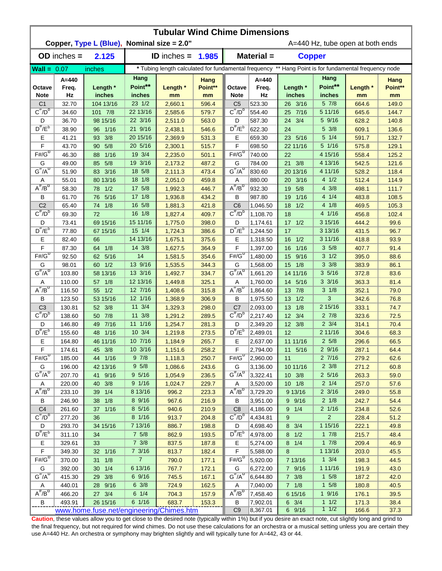|                         | <b>Tubular Wind Chime Dimensions</b> |                                            |                           |                      |                       |                                                                                                      |                          |                         |                           |                                  |                       |  |  |  |
|-------------------------|--------------------------------------|--------------------------------------------|---------------------------|----------------------|-----------------------|------------------------------------------------------------------------------------------------------|--------------------------|-------------------------|---------------------------|----------------------------------|-----------------------|--|--|--|
|                         |                                      | Copper, Type L (Blue), Nominal size = 2.0" |                           |                      |                       |                                                                                                      |                          |                         |                           | A=440 Hz, tube open at both ends |                       |  |  |  |
|                         | $OD$ inches $=$                      | 2.125                                      |                           | <b>ID</b> inches $=$ | 1.985                 |                                                                                                      | Material =               | <b>Copper</b>           |                           |                                  |                       |  |  |  |
| $Wall = 0.07$           |                                      | inches                                     |                           |                      |                       | * Tubing length calculated for fundamental frequency ** Hang Point is for fundamental frequency node |                          |                         |                           |                                  |                       |  |  |  |
| Octave<br><b>Note</b>   | $A = 440$<br>Freq.<br>Hz             | Length *<br>inches                         | Hang<br>Point**<br>inches | Length *<br>mm       | Hang<br>Point**<br>mm | Octave<br><b>Note</b>                                                                                | $A = 440$<br>Freq.<br>Hz | Length *<br>inches      | Hang<br>Point**<br>inches | Length *<br>mm                   | Hang<br>Point**<br>mm |  |  |  |
| C <sub>1</sub>          | 32.70                                | 104 13/16                                  | 23 1/2                    | 2,660.1              | 596.4                 | C <sub>5</sub>                                                                                       | 523.30                   | 26 3/16                 | 57/8                      | 664.6                            | 149.0                 |  |  |  |
| $C^{\pi}/D^D$           | 34.60                                | 101 7/8                                    | 22 13/16                  | 2,585.6              | 579.7                 | $C^{\#}/D^D$                                                                                         | 554.40                   | 25 7/16                 | 5 11/16                   | 645.6                            | 144.7                 |  |  |  |
| D                       | 36.70                                | 98 15/16                                   | 22 3/16                   | 2,511.0              | 563.0                 | D                                                                                                    | 587.30                   | 24 3/4                  | 5 9/16                    | 628.2                            | 140.8                 |  |  |  |
| $D^{\#}/E^b$            | 38.90                                | 1/16<br>96                                 | 21 9/16                   | 2,438.1              | 546.6                 | $D^{\prime\prime}/E^b$                                                                               | 622.30                   | 24                      | 5 3/8                     | 609.1                            | 136.6                 |  |  |  |
| Ε                       | 41.21                                | 3/8<br>93                                  | 20 15/16                  | 2,369.9              | 531.3                 | Е                                                                                                    | 659.30                   | 23 5/16                 | 5 1/4                     | 591.7                            | 132.7                 |  |  |  |
| F                       | 43.70                                | 5/8<br>$90-$                               | 20 5/16                   | 2,300.1              | 515.7                 | F                                                                                                    | 698.50                   | 22 11/16                | 5 1/16                    | 575.8                            | 129.1                 |  |  |  |
| $F#/\overline{G}^D$     | 46.30                                | 1/16<br>88                                 | 19 3/4                    | 2,235.0              | 501.1                 | $F#/\overline{G}^D$                                                                                  | 740.00                   | 22                      | 4 15/16                   | 558.4                            | 125.2                 |  |  |  |
| G                       | 49.00                                | 5/8<br>85                                  | 19 3/16                   | 2,173.2              | 487.2                 | G                                                                                                    | 784.00                   | 21 3/8                  | 4 13/16                   | 542.5                            | 121.6                 |  |  |  |
| $G^{\#}/A^D$            | 51.90                                | 83 3/16                                    | 18 5/8                    | 2,111.3              | 473.4                 | $G^H/A^D$                                                                                            | 830.60                   | 20 13/16                | 4 11/16                   | 528.2                            | 118.4                 |  |  |  |
| Α                       | 55.01                                | 80 13/16                                   | 18 1/8                    | 2,051.0              | 459.8                 | Α                                                                                                    | 880.00                   | 20<br>3/16              | 41/2                      | 512.4                            | 114.9                 |  |  |  |
| $A^{\#}/B^D$            | 58.30                                | 78 1/2                                     | 17 5/8                    | 1,992.3              | 446.7                 | $A^{\#}/B^D$                                                                                         | 932.30                   | 5/8<br>19               | $4 \frac{3}{8}$           | 498.1                            | 111.7                 |  |  |  |
| В                       | 61.70                                | 5/16<br>76                                 | $17 \frac{1}{8}$          | 1,936.8              | 434.2                 | В                                                                                                    | 987.80                   | 1/16<br>19              | 41/4                      | 483.8                            | 108.5                 |  |  |  |
| C <sub>2</sub>          | 65.40                                | 1/8<br>74                                  | 16 5/8                    | 1,881.3              | 421.8                 | C <sub>6</sub>                                                                                       | 1,046.50                 | 18<br>1/2               | 41/8                      | 469.5                            | 105.3                 |  |  |  |
| $C^{\#}/D^D$            | 69.30                                | 72                                         | 16 1/8                    | 1,827.4              | 409.7                 | $C^{\prime\prime}/D^D$                                                                               | 1,108.70                 | 18                      | 4 1/16                    | 456.8                            | 102.4                 |  |  |  |
| D<br>$D^{\pi}/E^b$      | 73.41                                | 69 15/16                                   | 15 11/16                  | 1,775.0              | 398.0                 | D                                                                                                    | 1,174.61                 | $17 \frac{1}{2}$        | 3 15/16                   | 444.2                            | 99.6                  |  |  |  |
|                         | 77.80                                | 67 15/16                                   | 15 1/4                    | 1,724.3              | 386.6                 | $D^{\pi}/E^b$                                                                                        | 1,244.50                 | 17                      | 3 13/16                   | 431.5                            | 96.7                  |  |  |  |
| Е<br>F                  | 82.40                                | 66                                         | 14 13/16<br>14 3/8        | 1,675.1              | 375.6                 | Е<br>F                                                                                               | 1,318.50                 | 1/2<br>16<br>1/16       | 3 11/16<br>35/8           | 418.8                            | 93.9                  |  |  |  |
| $F# / G^D$              | 87.30                                | 1/8<br>64                                  | 14                        | 1,627.5              | 364.9                 | $F#/\overline{G}^D$                                                                                  | 1,397.00                 | 16                      | $3 \frac{1}{2}$           | 407.7                            | 91.4                  |  |  |  |
| G                       | 92.50<br>98.01                       | 5/16<br>62<br>1/2<br>60                    | 13 9/16                   | 1,581.5<br>1,535.5   | 354.6<br>344.3        | G                                                                                                    | 1,480.00<br>1,568.00     | 9/16<br>15<br>1/8<br>15 | $3 \frac{3}{8}$           | 395.0<br>383.9                   | 88.6<br>86.1          |  |  |  |
| $G^{\overline{n}}/A^D$  | 103.80                               | 58 13/16                                   | 13 3/16                   | 1,492.7              | 334.7                 | $G^{\#}/A^D$                                                                                         | 1,661.20                 | 14 11/16                | 35/16                     | 372.8                            | 83.6                  |  |  |  |
| Α                       | 110.00                               | 1/8<br>57                                  | 12 13/16                  | 1,449.8              | 325.1                 | Α                                                                                                    | 1,760.00                 | 14 5/16                 | $3 \frac{3}{16}$          | 363.3                            | 81.4                  |  |  |  |
| $A^H/B^D$               | 116.50                               | 1/2<br>55                                  | 12 7/16                   | 1,408.6              | 315.8                 | $A^{\#}/B^D$                                                                                         | 1,864.60                 | 13 7/8                  | $3 \frac{1}{8}$           | 352.1                            | 79.0                  |  |  |  |
| В                       | 123.50                               | 53 15/16                                   | 12 1/16                   | 1,368.9              | 306.9                 | В                                                                                                    | 1,975.50                 | 13 1/2                  | 3                         | 342.6                            | 76.8                  |  |  |  |
| C <sub>3</sub>          | 130.81                               | 52 3/8                                     | 11 3/4                    | 1,329.3              | 298.0                 | C <sub>7</sub>                                                                                       | 2,093.00                 | 13 1/8                  | 2 15/16                   | 333.1                            | 74.7                  |  |  |  |
| $C^{\prime\prime}/D^b$  | 138.60                               | 7/8<br>50                                  | 11 3/8                    | 1,291.2              | 289.5                 | $C^{\#}/D^b$                                                                                         | 2,217.40                 | 12 3/4                  | $2 \frac{7}{8}$           | 323.6                            | 72.5                  |  |  |  |
| D                       | 146.80                               | 7/16<br>49                                 | 11 1/16                   | 1,254.7              | 281.3                 | D                                                                                                    | 2,349.20                 | 12 3/8                  | $2 \frac{3}{4}$           | 314.1                            | 70.4                  |  |  |  |
| $D^{\prime\prime}/E^b$  | 155.60                               | 1/16<br>48                                 | $10 \frac{3}{4}$          | 1,219.8              | 273.5                 | $D^{\#}/E^b$                                                                                         | 2,489.01                 | 12                      | 2 11/16                   | 304.6                            | 68.3                  |  |  |  |
| Е                       | 164.80                               | 46 11/16                                   | 10 7/16                   | 1,184.9              | 265.7                 | Е                                                                                                    | 2,637.00                 | 11 11/16                | $2\frac{5}{8}$            | 296.6                            | 66.5                  |  |  |  |
| F                       | 174.61                               | 45 3/8                                     | 10 3/16                   | 1,151.6              | 258.2                 | F                                                                                                    | 2,794.00                 | 11 5/16                 | 2 9/16                    | 287.1                            | 64.4                  |  |  |  |
| $F# / G^D$              | 185.00                               | 44 1/16                                    | 97/8                      | 1,118.3              | 250.7                 | $F#/\overline{G}^D$                                                                                  | 2,960.00                 | 11                      | 27/16                     | 279.2                            | 62.6                  |  |  |  |
| G                       | 196.00                               | 42 13/16                                   | $9\,5/8$                  | 1,086.6              | 243.6                 | G                                                                                                    | 3,136.00                 | 10 11/16                | $2 \frac{3}{8}$           | 271.2                            | 60.8                  |  |  |  |
| $G^{\#}/A^D$            | 207.70                               | 41 9/16                                    | 95/16                     | 1,054.9              | 236.5                 | $G^H/A^D$                                                                                            | 3,322.41                 | $10 \t3/8$              | $2\,5/16$                 | 263.3                            | 59.0                  |  |  |  |
| Α                       | 220.00                               | 40 3/8                                     | 9 1/16                    | 1,024.7              | 229.7                 | Α                                                                                                    | 3,520.00                 | $10 \t1/8$              | $2 \frac{1}{4}$           | 257.0                            | 57.6                  |  |  |  |
| $A^{\#}/B^D$            | 233.10                               | 39 1/4                                     | 8 13/16                   | 996.2                | 223.3                 | $A^{\overline{n}}/B^{\overline{D}}$                                                                  | 3,729.20                 | 9 13/16                 | $2 \frac{3}{16}$          | 249.0                            | 55.8                  |  |  |  |
| В                       | 246.90                               | 38 1/8                                     | 8 9/16                    | 967.6                | 216.9                 | В                                                                                                    | 3,951.00                 | 9 9/16                  | $2 \frac{1}{8}$           | 242.7                            | 54.4                  |  |  |  |
| C <sub>4</sub>          | 261.60                               | 37 1/16                                    | 8 5/16                    | 940.6                | 210.9                 | C <sub>8</sub>                                                                                       | 4,186.00                 | 9 1/4                   | 2 1/16                    | 234.8                            | 52.6                  |  |  |  |
| $C^{\frac{\pi}{}}/D^b$  | 277.20                               | 36                                         | 8 1/16                    | 913.7                | 204.8                 | $C^{\#}/D^D$                                                                                         | 4,434.81                 | 9                       | $\overline{2}$            | 228.4                            | 51.2                  |  |  |  |
| D                       | 293.70                               | 34 15/16                                   | 7 13/16                   | 886.7                | 198.8                 | D                                                                                                    | 4,698.40                 | 8 3/4                   | 1 15/16                   | 222.1                            | 49.8                  |  |  |  |
| $D^{\frac{\pi}{r}}/E^b$ | 311.10                               | 34                                         | $7\;5/8$                  | 862.9                | 193.5                 | $D^{\#}/E^b$                                                                                         | 4,978.00                 | $8 \t1/2$               | $1 \t7/8$                 | 215.7                            | 48.4                  |  |  |  |
| Е                       | 329.61                               | 33                                         | $7 \frac{3}{8}$           | 837.5                | 187.8                 | Е                                                                                                    | 5,274.00                 | $8 \t1/4$               | 17/8                      | 209.4                            | 46.9                  |  |  |  |
| $\mathsf F$             | 349.30                               | 32 1/16                                    | $7 \frac{3}{16}$          | 813.7                | 182.4                 | F                                                                                                    | 5,588.00                 | 8                       | 1 13/16                   | 203.0                            | 45.5                  |  |  |  |
| $F# / G^D$              | 370.00                               | 1/8<br>31                                  | $\overline{7}$            | 790.0                | 177.1                 | $F# / G^D$                                                                                           | 5,920.00                 | 7 13/16                 | $1 \frac{3}{4}$           | 198.3                            | 44.5                  |  |  |  |
| G<br>$G^{\#}/A^D$       | 392.00                               | 30 1/4                                     | 6 13/16                   | 767.7                | 172.1                 | G<br>$G''/A^D$                                                                                       | 6,272.00                 | 7 9/16                  | 1 11/16                   | 191.9                            | 43.0                  |  |  |  |
|                         | 415.30                               | 29 3/8                                     | 6 9/16<br>$6 \frac{3}{8}$ | 745.5                | 167.1                 |                                                                                                      | 6,644.80                 | $7 \frac{3}{8}$         | $1 \t5/8$<br>$1 \t5/8$    | 187.2                            | 42.0                  |  |  |  |
| A<br>$A^H/B^D$          | 440.01<br>466.20                     | 28 9/16<br>27 3/4                          | $6 \t1/4$                 | 724.9<br>704.3       | 162.5<br>157.9        | Α<br>$A^H/B^D$                                                                                       | 7,040.00<br>7,458.40     | $7 \t1/8$<br>6 15/16    | $1 \frac{9}{16}$          | 180.8<br>176.1                   | 40.5<br>39.5          |  |  |  |
| В                       | 493.91                               | 26 15/16                                   | 6 1/16                    | 683.7                | 153.3                 | B                                                                                                    | 7,902.01                 | $6 \t3/4$               | 11/2                      | 171.3                            | 38.4                  |  |  |  |
|                         |                                      | www.home.fuse.net/engineering/Chimes.htm   |                           |                      |                       | C <sub>9</sub>                                                                                       | 8,367.01                 | 6 9/16                  | $1 \t1/2$                 | 166.6                            | 37.3                  |  |  |  |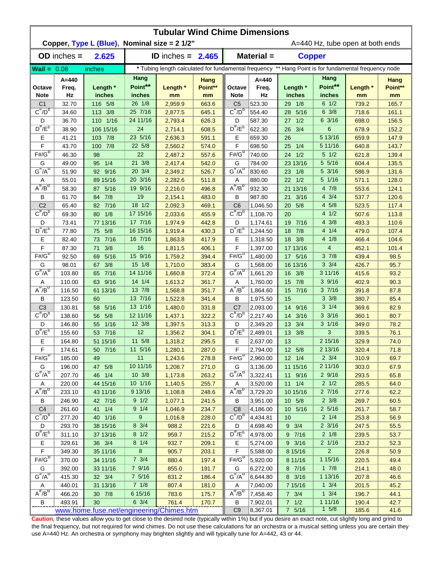|                                          | <b>Tubular Wind Chime Dimensions</b> |                                                |                           |                            |                       |                                |                          |                     |                                                                                                      |                                  |                       |  |  |  |
|------------------------------------------|--------------------------------------|------------------------------------------------|---------------------------|----------------------------|-----------------------|--------------------------------|--------------------------|---------------------|------------------------------------------------------------------------------------------------------|----------------------------------|-----------------------|--|--|--|
|                                          |                                      | Copper, Type L (Blue), Nominal size = 2 1/2"   |                           |                            |                       |                                |                          |                     |                                                                                                      | A=440 Hz, tube open at both ends |                       |  |  |  |
|                                          | $OD$ inches $=$                      | 2.625                                          |                           | <b>ID</b> inches = $2.465$ |                       |                                | Material =               |                     | <b>Copper</b>                                                                                        |                                  |                       |  |  |  |
| $Wall = 0.08$                            |                                      | inches                                         |                           |                            |                       |                                |                          |                     | * Tubing length calculated for fundamental frequency ** Hang Point is for fundamental frequency node |                                  |                       |  |  |  |
| Octave<br><b>Note</b>                    | $A = 440$<br>Freq.<br>Hz             | Length *<br>inches                             | Hang<br>Point**<br>inches | Length *<br>mm             | Hang<br>Point**<br>mm | Octave<br><b>Note</b>          | $A = 440$<br>Freq.<br>Hz | Length *<br>inches  | Hang<br>Point**<br>inches                                                                            | Length *<br>mm                   | Hang<br>Point**<br>mm |  |  |  |
| C <sub>1</sub>                           | 32.70                                | 116 5/8                                        | 26 1/8                    | 2,959.9                    | 663.6                 | C <sub>5</sub>                 | 523.30                   | 1/8<br>29           | $6 \frac{1}{2}$                                                                                      | 739.2                            | 165.7                 |  |  |  |
| $C^{\overline{n}}/D^b$                   | 34.60                                | 113 3/8                                        | 25 7/16                   | 2,877.5                    | 645.1                 | $C^{\pi}/D^b$                  | 554.40                   | 5/16<br>28          | $6 \frac{3}{8}$                                                                                      | 718.6                            | 161.1                 |  |  |  |
| D                                        | 36.70                                | 110 1/16                                       | 24 11/16                  | 2,793.4                    | 626.3                 | D                              | 587.30                   | 1/2<br>27           | 6 3/16                                                                                               | 698.0                            | 156.5                 |  |  |  |
| $D^{\#}/E^b$                             | 38.90                                | 106 15/16                                      | 24                        | 2,714.1                    | 608.5                 | $D^{\#}/E^b$                   | 622.30                   | 26 3/4              | 6                                                                                                    | 678.9                            | 152.2                 |  |  |  |
| Е                                        | 41.21                                | 103 7/8                                        | 23 5/16                   | 2,636.3                    | 591.1                 | Е                              | 659.30                   | 26                  | 5 13/16                                                                                              | 659.9                            | 147.9                 |  |  |  |
| F                                        | 43.70                                | 7/8<br>100                                     | 22 5/8                    | 2,560.2                    | 574.0                 | F                              | 698.50                   | 1/4<br>25           | 5 11/16                                                                                              | 640.8                            | 143.7                 |  |  |  |
| $F# / G^D$                               | 46.30                                | 98                                             | 22                        | 2,487.2                    | 557.6                 | $F# / G^D$                     | 740.00                   | 1/2<br>24           | $5 \frac{1}{2}$                                                                                      | 621.8                            | 139.4                 |  |  |  |
| G                                        | 49.00                                | 1/4<br>95                                      | 21 3/8                    | 2,417.4                    | 542.0                 | G                              | 784.00                   | 23 13/16            | 5 5/16                                                                                               | 604.4                            | 135.5                 |  |  |  |
| $G^{\#}/A^D$                             | 51.90                                | 92 9/16                                        | 20 3/4                    | 2,349.2                    | 526.7                 | $G^{\#}/A^{\cup}$              | 830.60                   | 23<br>1/8           | 5 3/16                                                                                               | 586.9                            | 131.6                 |  |  |  |
| Α                                        | 55.01                                | 89 15/16                                       | 20 3/16                   | 2,282.6                    | 511.8                 | Α                              | 880.00                   | 1/2<br>22           | 5 1/16                                                                                               | 571.1                            | 128.0                 |  |  |  |
| $A^H/B^D$                                | 58.30                                | 5/16<br>87                                     | 19 9/16                   | 2,216.0                    | 496.8                 | $A^{\#}/B^D$                   | 932.30                   | 21 13/16            | 4 7/8                                                                                                | 553.6                            | 124.1                 |  |  |  |
| B                                        | 61.70                                | 84 7/8                                         | 19                        | 2,154.1                    | 483.0                 | В                              | 987.80                   | 3/16<br>21          | $4 \frac{3}{4}$                                                                                      | 537.7                            | 120.6                 |  |  |  |
| C <sub>2</sub><br>$C^{\overline{n}}/D^D$ | 65.40                                | 82 7/16                                        | $18 \frac{1}{2}$          | 2,092.3                    | 469.1                 | C <sub>6</sub><br>$C^{\#}/D^D$ | 1,046.50                 | 5/8<br>20           | 4 5/8                                                                                                | 523.5                            | 117.4                 |  |  |  |
|                                          | 69.30                                | 80 1/8                                         | 17 15/16                  | 2,033.6                    | 455.9                 |                                | 1,108.70                 | 20                  | 4 1/2                                                                                                | 507.6                            | 113.8                 |  |  |  |
| D<br>$D^{\frac{\pi}{r}}/E^b$             | 73.41                                | 77 13/16                                       | 17 7/16<br>16 15/16       | 1,974.9                    | 442.8                 | D<br>$D^{\#}/E^b$              | 1,174.61                 | 7/16<br>19          | 4 3/8<br>4 1/4                                                                                       | 493.3                            | 110.6                 |  |  |  |
| Е                                        | 77.80<br>82.40                       | 5/8<br>75<br>73 7/16                           | 16 7/16                   | 1,919.4<br>1,863.8         | 430.3<br>417.9        | E                              | 1,244.50<br>1,318.50     | 18<br>7/8<br>18 3/8 | 4 1/8                                                                                                | 479.0<br>466.4                   | 107.4<br>104.6        |  |  |  |
| F                                        | 87.30                                | 3/8<br>71                                      | 16                        | 1,811.5                    | 406.1                 | F                              | 1,397.00                 | 17 13/16            | 4                                                                                                    | 452.1                            | 101.4                 |  |  |  |
| $F\sharp/\overline{G^D}$                 | 92.50                                | 5/16<br>69                                     | 15 9/16                   | 1,759.2                    | 394.4                 | $F# / G^D$                     | 1,480.00                 | 17 5/16             | 37/8                                                                                                 | 439.4                            | 98.5                  |  |  |  |
| G                                        | 98.01                                | 3/8<br>67                                      | 15 1/8                    | 1,710.0                    | 383.4                 | G                              | 1,568.00                 | 16 13/16            | $3 \frac{3}{4}$                                                                                      | 426.7                            | 95.7                  |  |  |  |
| $G^{\#}/A^D$                             | 103.80                               | 7/16<br>65                                     | 14 11/16                  | 1,660.8                    | 372.4                 | $G^{\#}/A^D$                   | 1,661.20                 | 3/8<br>16           | 3 11/16                                                                                              | 415.6                            | 93.2                  |  |  |  |
| Α                                        | 110.00                               | 9/16<br>63                                     | 14 1/4                    | 1,613.2                    | 361.7                 | Α                              | 1,760.00                 | 15<br>7/8           | 39/16                                                                                                | 402.9                            | 90.3                  |  |  |  |
| $A^{\#}/B^{\overline{D}}$                | 116.50                               | 61 13/16                                       | 13 7/8                    | 1,568.8                    | 351.7                 | $A^H/B^D$                      | 1,864.60                 | 15<br>7/16          | 37/16                                                                                                | 391.8                            | 87.8                  |  |  |  |
| В                                        | 123.50                               | 60                                             | 13 7/16                   | 1,522.8                    | 341.4                 | B                              | 1,975.50                 | 15                  | $3 \frac{3}{8}$                                                                                      | 380.7                            | 85.4                  |  |  |  |
| C <sub>3</sub>                           | 130.81                               | 5/16<br>58                                     | 13 1/16                   | 1,480.0                    | 331.8                 | C <sub>7</sub>                 | 2,093.00                 | 14 9/16             | $3 \frac{1}{4}$                                                                                      | 369.6                            | 82.9                  |  |  |  |
| $C^{\prime\prime}/D^b$                   | 138.60                               | 5/8<br>56                                      | 12 11/16                  | 1,437.1                    | 322.2                 | $C^{\#}/D^D$                   | 2,217.40                 | 14 3/16             | $3 \frac{3}{16}$                                                                                     | 360.1                            | 80.7                  |  |  |  |
| D                                        | 146.80                               | $1/16$<br>55                                   | 12 3/8                    | 1,397.5                    | 313.3                 | D                              | 2,349.20                 | 13 3/4              | $3 \frac{1}{16}$                                                                                     | 349.0                            | 78.2                  |  |  |  |
| $D^{\#}/E^b$                             | 155.60                               | 53 7/16                                        | 12                        | 1,356.2                    | 304.1                 | $D^{\#}/E^b$                   | 2,489.01                 | 13 3/8              | 3                                                                                                    | 339.5                            | 76.1                  |  |  |  |
| E                                        | 164.80                               | 51 15/16                                       | 11 5/8                    | 1,318.2                    | 295.5                 | Е                              | 2,637.00                 | 13                  | 2 15/16                                                                                              | 329.9                            | 74.0                  |  |  |  |
| F                                        | 174.61                               | 50 7/16                                        | 11 5/16                   | 1,280.1                    | 287.0                 | F                              | 2,794.00                 | 12 5/8              | 2 13/16                                                                                              | 320.4                            | 71.8                  |  |  |  |
| $F# / G^D$                               | 185.00                               | 49                                             | 11                        | 1,243.6                    | 278.8                 | $F# / G^D$                     | 2,960.00                 | $12 \t1/4$          | $2 \frac{3}{4}$                                                                                      | 310.9                            | 69.7                  |  |  |  |
| G                                        | 196.00                               | 47 5/8                                         | 10 11/16                  | 1,208.7                    | 271.0                 | G                              | 3,136.00                 | 11 15/16            | 2 11/16                                                                                              | 303.0                            | 67.9                  |  |  |  |
| $G^{\#}/A^D$                             | 207.70                               | 46 1/4                                         | 10 3/8                    | 1,173.8                    | 263.2                 | $G^H/A^U$                      | 3,322.41                 | 11 9/16             | 29/16                                                                                                | 293.5                            | 65.8                  |  |  |  |
| Α                                        | 220.00                               | 44 15/16                                       | 10 1/16                   | 1,140.5                    | 255.7                 | A                              | 3,520.00                 | $11 \t1/4$          | $2 \frac{1}{2}$                                                                                      | 285.5                            | 64.0                  |  |  |  |
| $A^{\#}/B^D$                             | 233.10                               | 43 11/16                                       | 9 13/16                   | 1,108.8                    | 248.6                 | $A^{\#}/B^D$                   | 3,729.20                 | 10 15/16            | 27/16                                                                                                | 277.6                            | 62.2                  |  |  |  |
| В                                        | 246.90                               | 42 7/16                                        | 9 1/2                     | 1,077.1                    | 241.5                 | В                              | 3,951.00                 | 10 5/8              | $2 \frac{3}{8}$                                                                                      | 269.7                            | 60.5                  |  |  |  |
| C <sub>4</sub>                           | 261.60                               | 41 1/4                                         | $9 \t1/4$                 | 1,046.9                    | 234.7                 | C <sub>8</sub>                 | 4,186.00                 | 10 5/16             | $2\frac{5}{16}$                                                                                      | 261.7                            | 58.7                  |  |  |  |
| $C^{\#}/D^b$                             | 277.20                               | 40 1/16                                        | 9                         | 1,016.8                    | 228.0                 | $C^{\pi}/D^b$                  | 4,434.81                 | 10                  | $2 \frac{1}{4}$                                                                                      | 253.8                            | 56.9                  |  |  |  |
| D                                        | 293.70                               | 38 15/16                                       | 8 3/4                     | 988.2                      | 221.6                 | D                              | 4,698.40                 | $9 \t3/4$           | $2 \frac{3}{16}$                                                                                     | 247.5                            | 55.5                  |  |  |  |
| $D^{\frac{\pi}{r}}/E^b$                  | 311.10                               | 37 13/16                                       | $8 \frac{1}{2}$           | 959.7                      | 215.2                 | $D^{\#}/E^b$                   | 4,978.00                 | 9 7/16              | $2 \frac{1}{8}$                                                                                      | 239.5                            | 53.7                  |  |  |  |
| Е                                        | 329.61                               | 36 3/4                                         | $8 \t1/4$                 | 932.7                      | 209.1                 | Е                              | 5,274.00                 | $9 \t3/16$          | $2 \frac{1}{16}$                                                                                     | 233.2                            | 52.3                  |  |  |  |
| F                                        | 349.30                               | 35 11/16                                       | 8                         | 905.7                      | 203.1                 | F                              | 5,588.00                 | 8 15/16             | $\overline{2}$                                                                                       | 226.8                            | 50.9                  |  |  |  |
| $F# / G^D$                               | 370.00                               | 34 11/16                                       | $7 \frac{3}{4}$           | 880.4                      | 197.4                 | $F# / G^D$                     | 5,920.00                 | 8 11/16             | 1 15/16                                                                                              | 220.5                            | 49.4                  |  |  |  |
| G                                        | 392.00                               | 33 11/16                                       | 7 9/16                    | 855.0                      | 191.7                 | G                              | 6,272.00                 | 8 7/16              | $1 \t7/8$                                                                                            | 214.1                            | 48.0                  |  |  |  |
| $G^{\#}/A^D$                             | 415.30                               | 32    3/4                                      | 7 5/16                    | 831.2                      | 186.4                 | $G^H/A^U$                      | 6,644.80                 | 8 3/16              | 1 13/16                                                                                              | 207.8                            | 46.6                  |  |  |  |
| Α<br>$A^{\#}/B^D$                        | 440.01                               | 31 13/16                                       | $7 \t1/8$                 | 807.4                      | 181.0                 | Α                              | 7,040.00                 | 7 15/16             | $1 \frac{3}{4}$                                                                                      | 201.5                            | 45.2                  |  |  |  |
|                                          | 466.20                               | 30 7/8                                         | 6 15/16                   | 783.6                      | 175.7                 | $A^H/B^D$                      | 7,458.40                 | $7 \t3/4$           | $1 \frac{3}{4}$                                                                                      | 196.7                            | 44.1                  |  |  |  |
| B                                        | 493.91                               | 30<br>www.home.fuse.net/engineering/Chimes.htm | $6 \frac{3}{4}$           | 761.4                      | 170.7                 | B<br>C <sub>9</sub>            | 7,902.01<br>8,367.01     | $7 \t1/2$<br>7 5/16 | 1 11/16<br>15/8                                                                                      | 190.4<br>185.6                   | 42.7<br>41.6          |  |  |  |
|                                          |                                      |                                                |                           |                            |                       |                                |                          |                     |                                                                                                      |                                  |                       |  |  |  |